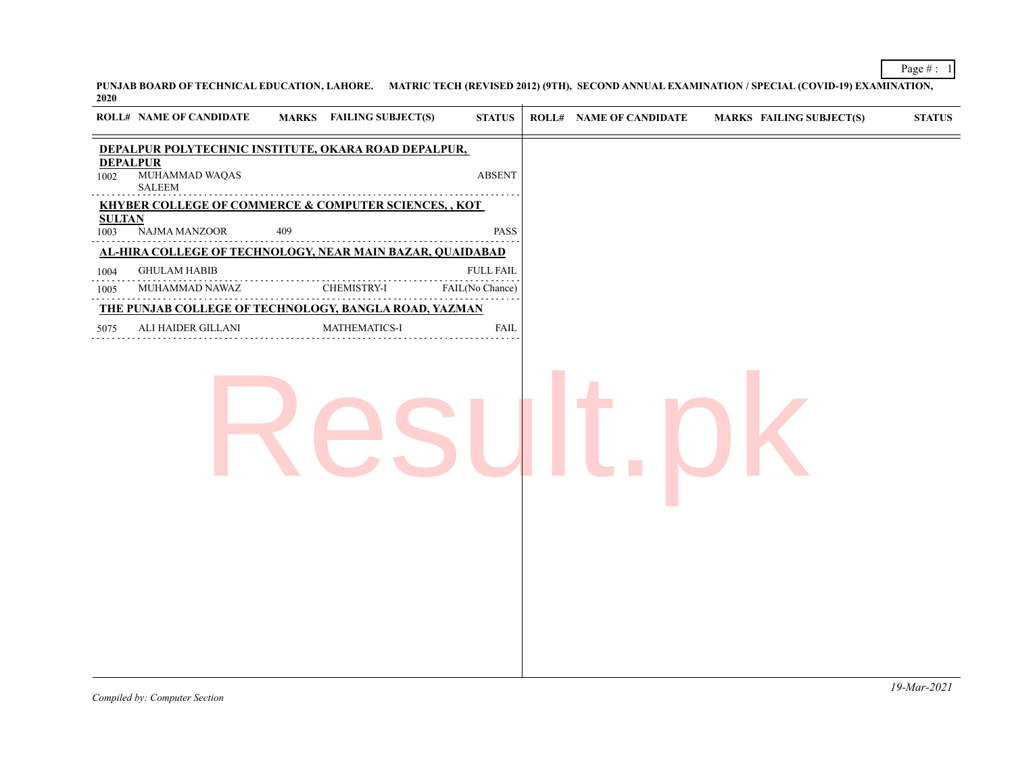**PUNJAB BOARD OF TECHNICAL EDUCATION, LAHORE. MATRIC TECH (REVISED 2012) (9TH), SECOND ANNUAL EXAMINATION / SPECIAL (COVID-19) EXAMINATION, 2020**

|                         | <b>ROLL# NAME OF CANDIDATE</b>                            |     | MARKS FAILING SUBJECT(S) | <b>STATUS</b>    | <b>ROLL# NAME OF CANDIDATE</b> | <b>MARKS FAILING SUBJECT(S)</b> | <b>STATUS</b> |
|-------------------------|-----------------------------------------------------------|-----|--------------------------|------------------|--------------------------------|---------------------------------|---------------|
|                         | DEPALPUR POLYTECHNIC INSTITUTE, OKARA ROAD DEPALPUR,      |     |                          |                  |                                |                                 |               |
| <b>DEPALPUR</b><br>1002 | MUHAMMAD WAQAS<br>SALEEM                                  |     |                          | <b>ABSENT</b>    |                                |                                 |               |
|                         | KHYBER COLLEGE OF COMMERCE & COMPUTER SCIENCES, , KOT     |     |                          |                  |                                |                                 |               |
| <b>SULTAN</b><br>1003   | NAJMA MANZOOR                                             | 409 |                          | PASS             |                                |                                 |               |
|                         | AL-HIRA COLLEGE OF TECHNOLOGY, NEAR MAIN BAZAR, QUAIDABAD |     |                          |                  |                                |                                 |               |
| 1004                    | <b>GHULAM HABIB</b>                                       |     |                          | <b>FULL FAIL</b> |                                |                                 |               |
| 1005                    | MUHAMMAD NAWAZ                                            |     | CHEMISTRY-I              | FAIL(No Chance)  |                                |                                 |               |
|                         | THE PUNJAB COLLEGE OF TECHNOLOGY, BANGLA ROAD, YAZMAN     |     |                          |                  |                                |                                 |               |
| 5075                    | ALI HAIDER GILLANI                                        |     | MATHEMATICS-I            | <b>FAIL</b>      |                                |                                 |               |
|                         |                                                           |     |                          |                  |                                |                                 |               |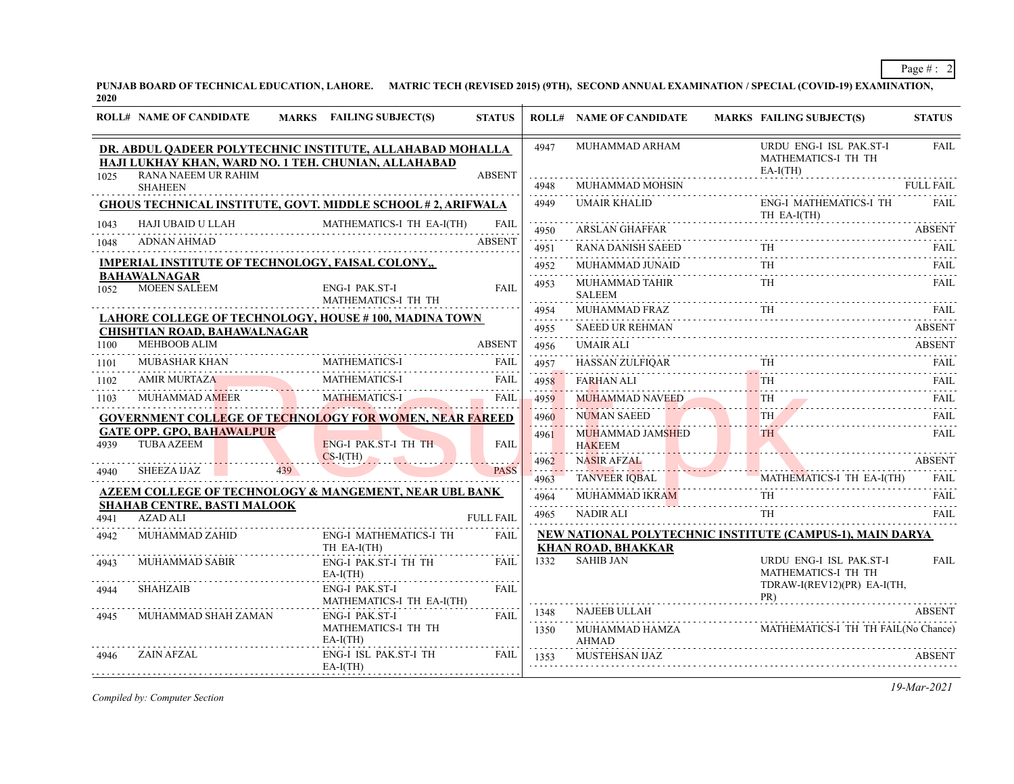**PUNJAB BOARD OF TECHNICAL EDUCATION, LAHORE. MATRIC TECH (REVISED 2015) (9TH), SECOND ANNUAL EXAMINATION / SPECIAL (COVID-19) EXAMINATION, 2020**

|      | <b>ROLL# NAME OF CANDIDATE</b>                           |     | <b>MARKS</b> FAILING SUBJECT(S)                                                    | <b>STATUS</b>    |                          | <b>ROLL# NAME OF CANDIDATE</b>                                                         | <b>MARKS FAILING SUBJECT(S)</b>                                                                                                                                                                                                      | <b>STATUS</b> |
|------|----------------------------------------------------------|-----|------------------------------------------------------------------------------------|------------------|--------------------------|----------------------------------------------------------------------------------------|--------------------------------------------------------------------------------------------------------------------------------------------------------------------------------------------------------------------------------------|---------------|
|      | HAJI LUKHAY KHAN, WARD NO. 1 TEH. CHUNIAN, ALLAHABAD     |     | DR. ABDUL QADEER POLYTECHNIC INSTITUTE, ALLAHABAD MOHALLA                          |                  | 4947                     | MUHAMMAD ARHAM                                                                         | URDU ENG-I ISL PAK.ST-I<br>MATHEMATICS-I TH TH<br>$EA-I(TH)$                                                                                                                                                                         | <b>FAIL</b>   |
| 1025 | RANA NAEEM UR RAHIM<br><b>SHAHEEN</b>                    |     |                                                                                    | <b>ABSENT</b>    | 4948                     | .<br>MUHAMMAD MOHSIN                                                                   |                                                                                                                                                                                                                                      | FULL FAIL     |
|      |                                                          |     | <b>GHOUS TECHNICAL INSTITUTE, GOVT. MIDDLE SCHOOL #2, ARIFWALA</b>                 |                  | 4949                     | <b>UMAIR KHALID</b><br>TH EA-I(TH)<br>ARSI AN GHAFEAR                                  | <b>ENG-I MATHEMATICS-I TH</b>                                                                                                                                                                                                        | FAII.         |
|      |                                                          |     | MATHEMATICS-I TH EA-I(TH)<br>1043 HAJI UBAID U LLAH MATHEMATICS-I TH EA-I(TH) FAIL |                  | .<br>4950                | <b>ARSLAN GHAFFAR</b>                                                                  |                                                                                                                                                                                                                                      | <b>ABSENT</b> |
| 1048 | ADNAN AHMAD                                              |     |                                                                                    | <b>ABSENT</b>    | .<br>4951                | RANA DANISH SAEED TH FAIL                                                              |                                                                                                                                                                                                                                      |               |
|      | <b>IMPERIAL INSTITUTE OF TECHNOLOGY, FAISAL COLONY,,</b> |     |                                                                                    |                  | 4952<br>.                | MUHAMMAD JUNAID                                                                        | $\mathbb{D}$ TH $\ldots$ . The set of the set of the set of the set of the set of the set of the set of the set of the set of the set of the set of the set of the set of the set of the set of the set of the set of the set of the | FAII.         |
| 1052 | <b>BAHAWALNAGAR</b><br><b>MOEEN SALEEM</b>               |     | <b>ENG-I PAK.ST-I</b><br>MATHEMATICS-I TH TH                                       | <b>FAIL</b>      | 4953<br>.                | MUHAMMAD TAHIR<br><b>SALEEM</b>                                                        | TH <sub>1</sub>                                                                                                                                                                                                                      | FAII.         |
|      |                                                          |     | LAHORE COLLEGE OF TECHNOLOGY, HOUSE #100, MADINA TOWN                              |                  | 4954<br>.                | MUHAMMAD FRAZ                                                                          |                                                                                                                                                                                                                                      |               |
|      | <b>CHISHTIAN ROAD, BAHAWALNAGAR</b>                      |     |                                                                                    |                  | 4955<br>.                | <b>SAEED UR REHMAN</b>                                                                 |                                                                                                                                                                                                                                      | <b>ABSENT</b> |
| 1100 | <b>MEHBOOB ALIM</b>                                      |     |                                                                                    | ABSENT           | 4956                     | <b>UMAIR ALI</b>                                                                       |                                                                                                                                                                                                                                      | <b>ABSENT</b> |
| 1101 | MUBASHAR KHAN                                            |     | R KHAN MATHEMATICS-I FAIL                                                          | FAIL             | 4957<br>. <mark>.</mark> |                                                                                        |                                                                                                                                                                                                                                      |               |
| 1102 | AMIR MURTAZA                                             |     | MATHEMATICS-I                                                                      | FAIL             | 4958<br>. <b>.</b> .     |                                                                                        |                                                                                                                                                                                                                                      |               |
| 1103 | MUHAMMAD AMEER                                           |     | MATHEMATICS-I                                                                      | <b>FAIL</b>      | 14959                    | MUHAMMAD NAVEED                                                                        | <b>TH</b>                                                                                                                                                                                                                            | FAII.<br>.    |
|      |                                                          |     | <b>GOVERNMENT COLLEGE OF TECHNOLOGY FOR WOMEN, NEAR FAREED</b>                     |                  | 4960                     | <b>NUMAN SAEED</b><br><b>Contract Contract</b>                                         | <b>TH</b>                                                                                                                                                                                                                            | <b>FAIL</b>   |
| 4939 | <b>GATE OPP. GPO, BAHAWALPUR</b><br><b>TUBA AZEEM</b>    |     | <b>ENG-I PAK ST-I TH TH</b>                                                        | <b>FAIL</b>      | 4961                     | MUHAMMAD JAMSHED TH FAIL FAIL                                                          |                                                                                                                                                                                                                                      |               |
| 4940 | SHEEZA IJAZ                                              | 439 | $CS-I(TH)$                                                                         | <b>PASS</b>      | 4962<br>.                | <b>NASIR AFZAL</b>                                                                     |                                                                                                                                                                                                                                      | <b>ABSENT</b> |
|      |                                                          |     |                                                                                    |                  | 4963                     | TANVEER IQBAL                                                                          | MATHEMATICS-I TH EA-I(TH) FAIL                                                                                                                                                                                                       |               |
|      | <b>SHAHAB CENTRE, BASTI MALOOK</b>                       |     | <b>AZEEM COLLEGE OF TECHNOLOGY &amp; MANGEMENT, NEAR UBL BANK</b>                  |                  | 4964<br>.                | MUHAMMAD IKRAM TH FAIL                                                                 |                                                                                                                                                                                                                                      |               |
| 4941 | <b>AZAD ALI</b>                                          |     |                                                                                    | <b>FULL FAIL</b> | 4965                     | <b>NADIR ALI</b>                                                                       | <b>TH</b>                                                                                                                                                                                                                            | FAIL.         |
| 4942 | MUHAMMAD ZAHID                                           |     | <b>ENG-I MATHEMATICS-I TH</b><br>TH EA-I(TH)                                       | <b>FAIL</b>      |                          | NEW NATIONAL POLYTECHNIC INSTITUTE (CAMPUS-1), MAIN DARYA<br><b>KHAN ROAD, BHAKKAR</b> |                                                                                                                                                                                                                                      |               |
| 4943 | <b>MUHAMMAD SABIR</b>                                    |     | ENG-I PAK.ST-I TH TH<br>$EA-I(TH)$                                                 | <b>FAIL</b>      | 1332                     | <b>SAHIB JAN</b>                                                                       | URDU ENG-I ISL PAK.ST-I<br>MATHEMATICS-I TH TH                                                                                                                                                                                       | <b>FAIL</b>   |
| 4944 | SHAHZAIB                                                 |     | ENG-I PAK.ST-I<br>MATHEMATICS-I TH EA-I(TH)                                        | FAIL             |                          | .                                                                                      | TDRAW-I(REV12)(PR) EA-I(TH,<br>PR)<br>PR)                                                                                                                                                                                            |               |
| 4945 | MUHAMMAD SHAH ZAMAN                                      |     | ENG-I PAK.ST-I                                                                     | FAIL             | 1348<br>.                | NAJEEB ULLAH                                                                           |                                                                                                                                                                                                                                      | <b>ABSENT</b> |
|      |                                                          |     | MATHEMATICS-I TH TH<br>$EA-I(TH)$                                                  |                  | 1350                     | MUHAMMAD HAMZA<br>AHMAD                                                                | MATHEMATICS-I TH TH FAIL(No Chance)                                                                                                                                                                                                  |               |
| 4946 | ZAIN AFZAL                                               |     | ENG-I ISL PAK.ST-I TH<br>$EA-I(TH)$                                                | FAIL             | 1353                     | MUSTEHSAN IJAZ                                                                         |                                                                                                                                                                                                                                      | <b>ABSENT</b> |

*Compiled by: Computer Section*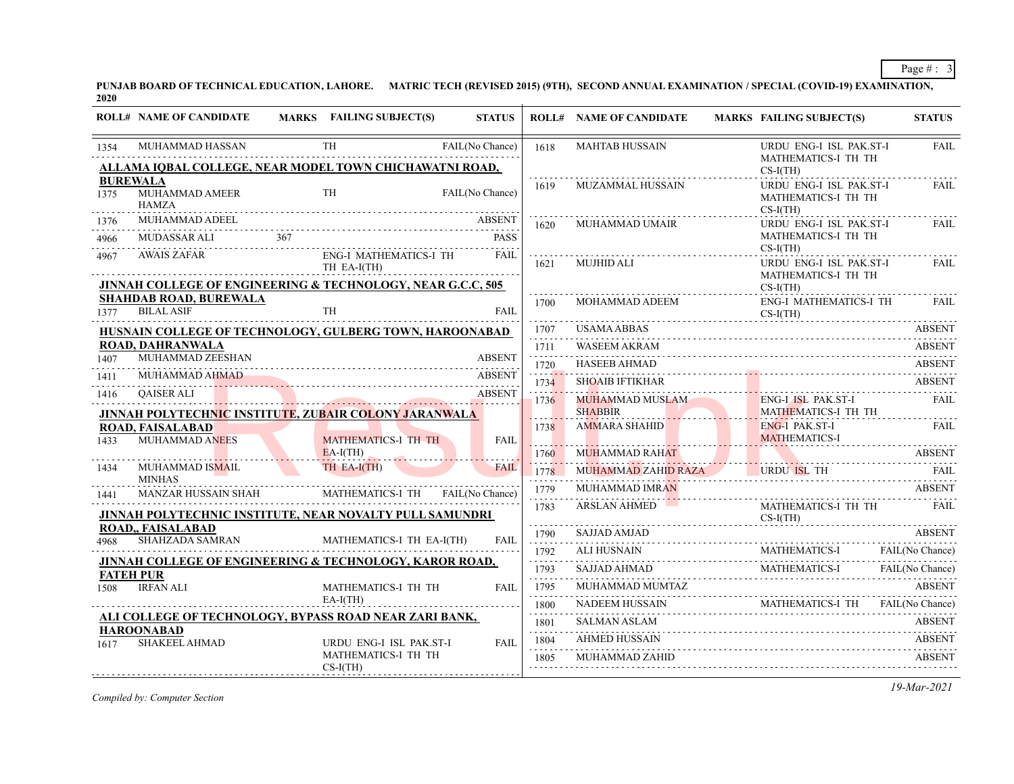**PUNJAB BOARD OF TECHNICAL EDUCATION, LAHORE. MATRIC TECH (REVISED 2015) (9TH), SECOND ANNUAL EXAMINATION / SPECIAL (COVID-19) EXAMINATION, 2020**

|              | <b>ROLL# NAME OF CANDIDATE</b>                                                                                    | <b>MARKS</b> FAILING SUBJECT(S)              | <b>STATUS</b>                |           | <b>ROLL# NAME OF CANDIDATE</b>                                                                                      | <b>MARKS FAILING SUBJECT(S)</b>               |                         | <b>STATUS</b>        |
|--------------|-------------------------------------------------------------------------------------------------------------------|----------------------------------------------|------------------------------|-----------|---------------------------------------------------------------------------------------------------------------------|-----------------------------------------------|-------------------------|----------------------|
| 1354         | MUHAMMAD HASSAN                                                                                                   | <b>TH</b>                                    | FAIL(No Chance)              | 1618      | <b>MAHTAB HUSSAIN</b>                                                                                               | MATHEMATICS-I TH TH                           | URDU ENG-I ISL PAK.ST-I | <b>FAIL</b>          |
|              | ALLAMA IQBAL COLLEGE, NEAR MODEL TOWN CHICHAWATNI ROAD,                                                           |                                              |                              |           |                                                                                                                     | $CS-I(TH)$                                    |                         |                      |
| 1375         | <b>BUREWALA</b><br>MUHAMMAD AMEER<br><b>HAMZA</b>                                                                 | <b>TH</b>                                    | FAIL(No Chance)              | 1619      | <b>MUZAMMAL HUSSAIN</b>                                                                                             | MATHEMATICS-I TH TH<br>$CS-I(TH)$             | URDU ENG-I ISL PAK.ST-I | <b>FAIL</b>          |
| 1376<br>4966 | MUHAMMAD ADEEL<br>LI $367$<br>MUDASSAR ALI                                                                        |                                              | <b>ABSENT</b><br><b>PASS</b> | 1620      | MUHAMMAD UMAIR                                                                                                      | MATHEMATICS-I TH TH<br>$CS-I(TH)$             | URDU ENG-I ISL PAK.ST-I | FAIL                 |
| 4967         | <b>AWAIS ZAFAR</b>                                                                                                | <b>ENG-I MATHEMATICS-I TH</b><br>TH EA-I(TH) | <b>FAIL</b>                  | 1621      | MUJHID ALI                                                                                                          | MATHEMATICS-I TH TH                           | URDU ENG-I ISL PAK.ST-I | FAIL                 |
| 1377         | JINNAH COLLEGE OF ENGINEERING & TECHNOLOGY, NEAR G.C.C, 505<br><b>SHAHDAB ROAD, BUREWALA</b><br><b>BILAL ASIF</b> | <b>TH</b>                                    | FAIL                         | 1700      | MOHAMMAD ADEEM                                                                                                      | $CS-I(TH)$<br>$CS-I(TH)$                      | ENG-I MATHEMATICS-I TH  | FAII.                |
|              | HUSNAIN COLLEGE OF TECHNOLOGY, GULBERG TOWN, HAROONABAD                                                           |                                              |                              | 1707      | USAMA ABBAS                                                                                                         |                                               |                         | <b>ABSENT</b>        |
|              | <b>ROAD, DAHRANWALA</b>                                                                                           |                                              |                              | .<br>1711 | <b>WASEEM AKRAM</b>                                                                                                 |                                               |                         | <b>ABSENT</b>        |
| 1407         | MUHAMMAD ZEESHAN                                                                                                  |                                              | <b>ABSENT</b>                | .<br>1720 | <b>HASEEB AHMAD</b>                                                                                                 |                                               |                         | <b>ABSENT</b>        |
| 1411         | MUHAMMAD AHMAD                                                                                                    |                                              | <b>ABSENT</b>                | 1734      | <b>SHOAIB IFTIKHAR</b>                                                                                              |                                               |                         | <b>ABSENT</b>        |
| 1416         | <b>QAISER ALI</b><br>JINNAH POLYTECHNIC INSTITUTE, ZUBAIR COLONY JARANWALA                                        |                                              | <b>ABSENT</b>                | 1736      | MUHAMMAD MUSLAM<br><b>SHABBIR</b>                                                                                   | ENG-I ISL PAK.ST-I<br>MATHEMATICS-I TH TH     |                         | <b>FAIL</b>          |
| 1433         | ROAD, FAISALABAD<br><b>MUHAMMAD ANEES</b>                                                                         | MATHEMATICS-I TH TH                          | FAIL                         | 1738      | AMMARA SHAHID                                                                                                       | <b>ENG-I PAK.ST-I</b><br><b>MATHEMATICS-I</b> |                         | FAIL                 |
|              |                                                                                                                   | $EA-I(TH)$                                   |                              | 1760      | <b>MUHAMMAD RAHAT</b>                                                                                               |                                               | ABSENT                  | <b>ABSENT</b>        |
| 1434         | MUHAMMAD IS <mark>MA</mark> IL<br><b>MINHAS</b>                                                                   | TH EA-I(TH)                                  | <b>FAIL</b>                  | 1778      | MUHAMMAD ZAHID RAZA URDU ISL TH                                                                                     |                                               |                         | - FAIL               |
| 1441         | MANZAR HUSSAIN SHAH                                                                                               | MATHEMATICS-I TH FAIL(No Chance)             |                              | 1779<br>. | <b>MUHAMMAD IMRAN</b>                                                                                               |                                               |                         | <b>ABSENT</b>        |
|              | JINNAH POLYTECHNIC INSTITUTE, NEAR NOVALTY PULL SAMUNDRI                                                          |                                              |                              | 1783      | <b>ARSLAN AHMED</b>                                                                                                 | MATHEMATICS-I TH TH<br>$CS-I(TH)$             |                         | FAIL                 |
| 4968         | ROAD,, FAISALABAD<br><b>SHAHZADA SAMRAN</b>                                                                       | MATHEMATICS-I TH EA-I(TH)                    | <b>FAIL</b>                  | 1790<br>. | <b>SAJJAD AMJAD</b>                                                                                                 |                                               |                         | <b>ABSENT</b>        |
|              |                                                                                                                   |                                              |                              | 1792<br>. | ALI HUSNAIN                                                                                                         | MATHEMATICS-I                                 |                         | FAIL(No Chance)      |
|              | JINNAH COLLEGE OF ENGINEERING & TECHNOLOGY, KAROR ROAD,<br><b>FATEH PUR</b>                                       |                                              |                              | 1793<br>. | <b>SAJJAD AHMAD</b><br>$\begin{minipage}{.4\linewidth} \textbf{SAJJAD AHMAD} \textbf{MATHEMATICS-I} \end{minipage}$ | MATHEMATICS-I                                 |                         | FAIL(No Chance)<br>. |
| 1508         | <b>IRFAN ALI</b>                                                                                                  | MATHEMATICS-I TH TH                          | <b>FAIL</b>                  | 1795<br>. | MUHAMMAD MUMTAZ                                                                                                     |                                               |                         | <b>ABSENT</b>        |
|              |                                                                                                                   | $EA-I(TH)$                                   |                              | 1800<br>. | NADEEM HUSSAIN MATHEMATICS-I TH FAIL (No Chance)                                                                    |                                               |                         |                      |
|              | ALI COLLEGE OF TECHNOLOGY, BYPASS ROAD NEAR ZARI BANK,<br><b>HAROONABAD</b>                                       |                                              |                              | 1801<br>. | <b>SALMAN ASLAM</b>                                                                                                 |                                               |                         | <b>ABSENT</b>        |
| 1617         | <b>SHAKEEL AHMAD</b>                                                                                              | URDU ENG-I ISL PAK.ST-I                      | <b>FAIL</b>                  | 1804      | <b>AHMED HUSSAIN</b>                                                                                                |                                               |                         | <b>ABSENT</b>        |
|              |                                                                                                                   | MATHEMATICS-I TH TH<br>$CS-I(TH)$            |                              | 1805      | MUHAMMAD ZAHID                                                                                                      |                                               |                         | <b>ABSENT</b>        |

*Compiled by: Computer Section*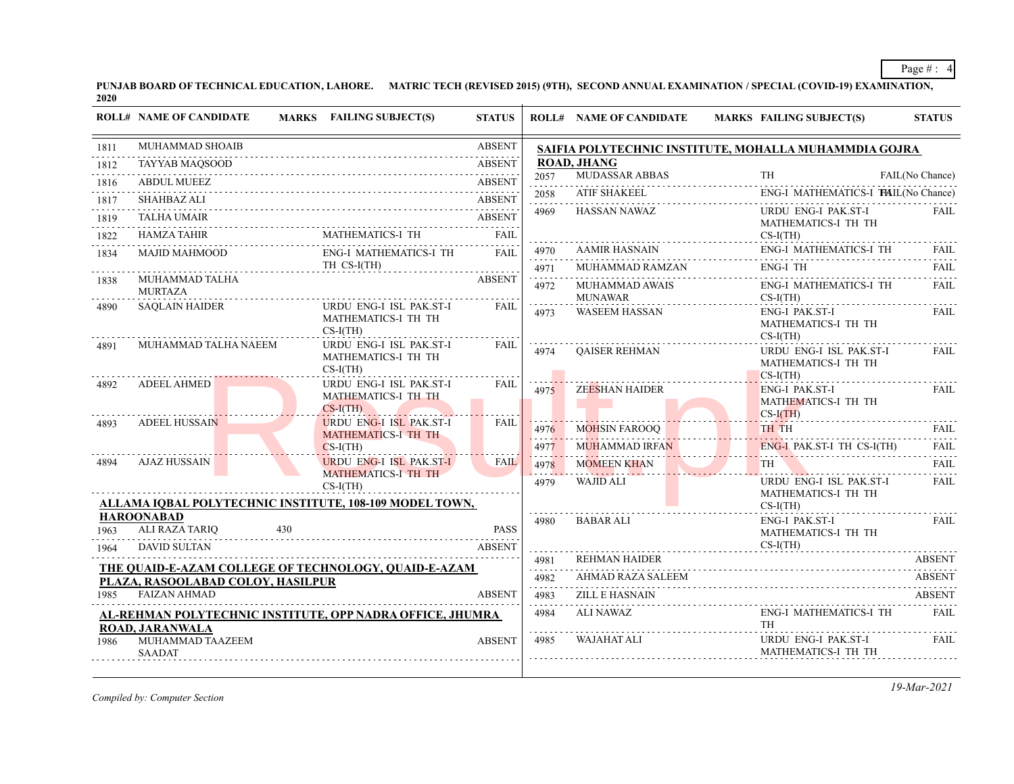**PUNJAB BOARD OF TECHNICAL EDUCATION, LAHORE. MATRIC TECH (REVISED 2015) (9TH), SECOND ANNUAL EXAMINATION / SPECIAL (COVID-19) EXAMINATION, 2020**

| 1811              | MUHAMMAD SHOAIB                                          |                                                              |               |                                   |                       |                                                                            |                  |
|-------------------|----------------------------------------------------------|--------------------------------------------------------------|---------------|-----------------------------------|-----------------------|----------------------------------------------------------------------------|------------------|
|                   |                                                          |                                                              | <b>ABSENT</b> |                                   |                       | SAIFIA POLYTECHNIC INSTITUTE, MOHALLA MUHAMMDIA GOJRA                      |                  |
| 1812              | TAYYAB MAQSOOD                                           | 0D ABSENI                                                    | <b>ABSENT</b> |                                   | <b>ROAD, JHANG</b>    |                                                                            |                  |
| 1816              | <b>ABDUL MUEEZ</b>                                       |                                                              | <b>ABSENT</b> | 2057<br>.                         | MUDASSAR ABBAS        | TH                                                                         | FAIL(No Chance)  |
| 1817              | <b>SHAHBAZ ALI</b>                                       |                                                              | <b>ABSENT</b> | 2058<br>.                         | ATIF SHAKEEL          | ENG-I MATHEMATICS-I THIL(No Chance)                                        |                  |
| 1819              | <b>TALHA UMAIR</b>                                       |                                                              | <b>ABSENT</b> | 4969                              | HASSAN NAWAZ          | URDU ENG-I PAK.ST-I<br>MATHEMATICS-I TH TH                                 | <b>FAIL</b>      |
| 1822              | <b>HAMZA TAHIR</b>                                       | <b>MATHEMATICS-I TH</b>                                      | <b>FAIL</b>   |                                   |                       | $CS-I(TH)$                                                                 |                  |
| 1834              | MAJID MAHMOOD                                            | <b>ENG-I MATHEMATICS-I TH</b>                                | FAIL          | 4970<br>.                         | AAMIR HASNAIN         | ENG-I MATHEMATICS-I TH                                                     | FAII.            |
|                   | .                                                        | TH CS-I(TH)                                                  |               | 4971                              | MUHAMMAD RAMZAN       | <b>ENG-I TH</b>                                                            | FAIL             |
| 1838              | MUHAMMAD TALHA<br><b>MURTAZA</b>                         |                                                              | <b>ABSENT</b> | 4972                              | MUHAMMAD AWAIS        | <b>ENG-I MATHEMATICS-I TH</b>                                              | <b>FAIL</b>      |
| 4890              | <b>SAOLAIN HAIDER</b>                                    | URDU ENG-I ISL PAK.ST-I                                      | <b>FAIL</b>   |                                   | <b>MUNAWAR</b>        | $CS-I(TH)$                                                                 |                  |
|                   |                                                          | MATHEMATICS-I TH TH<br>$CS-I(TH)$                            |               | 4973                              | <b>WASEEM HASSAN</b>  | ENG-I PAK.ST-I<br>MATHEMATICS-I TH TH<br>$CS-I(TH)$                        | FAII.            |
| 4891              | MUHAMMAD TALHA NAEEM                                     | URDU ENG-I ISL PAK.ST-I                                      | FAIL          | 4974                              | <b>OAISER REHMAN</b>  | URDU ENG-I ISL PAK.ST-I                                                    | <b>FAIL</b>      |
|                   |                                                          | MATHEMATICS-I TH TH<br>$CS-I(TH)$                            |               |                                   |                       | MATHEMATICS-I TH TH                                                        |                  |
| 4892              | <b>ADEEL AHMED</b>                                       | URDU ENG-I ISL PAK.ST-I                                      | FAIL          | 4975                              | ZEESHAN HAIDER        | $CS-I(TH)$<br>ENG-I PAK.ST-I                                               | FAIL             |
|                   |                                                          | MATHEMATICS-I TH TH                                          |               |                                   |                       | MATHEMATICS-I TH TH                                                        |                  |
| 4893              | <b>ADEEL HUSSAIN</b>                                     | $CS-I(TH)$<br><b>URDU ENG-I ISL PAK.ST-I</b>                 | <b>FAIL</b>   |                                   |                       | $CS-I(TH)$                                                                 |                  |
|                   |                                                          | MATHEMATICS-I TH TH                                          |               | 4976                              | <b>MOHSIN FAROOQ</b>  | TH TH                                                                      | FAII.            |
|                   |                                                          | $CS-I(TH)$                                                   |               | 4977                              | MUHAMMAD IRFAN        | ENG-I PAK ST-I TH CS-I(TH)<br><u> 1998 - President Francesco, Marian e</u> | <b>FAIL</b>      |
| 4894              | AJAZ HUSSAIN                                             | <b>URDU ENG-I ISL PAK.ST-I</b><br><b>MATHEMATICS-I TH TH</b> | <b>FAIL</b>   | 4978<br>and the second control of | <b>MOMEEN KHAN</b>    |                                                                            | <b>FAIL</b><br>. |
|                   |                                                          | $CS-I(TH)$                                                   |               | 4979                              | WAJID ALI             | URDU ENG-I ISL PAK.ST-I                                                    | <b>FAIL</b>      |
|                   |                                                          | ALLAMA IQBAL POLYTECHNIC INSTITUTE, 108-109 MODEL TOWN,      |               |                                   |                       | MATHEMATICS-I TH TH<br>$CS-I(TH)$                                          |                  |
| <b>HAROONABAD</b> |                                                          |                                                              |               | 4980                              | <b>BABAR ALI</b>      | ENG-I PAK.ST-I                                                             | <b>FAIL</b>      |
| 1963              | ALI RAZA TARIQ<br>430                                    |                                                              | PASS          |                                   |                       | MATHEMATICS-I TH TH                                                        |                  |
| 1964              | <b>DAVID SULTAN</b>                                      |                                                              | <b>ABSENT</b> | 4981                              | REHMAN HAIDER         | $CS-I(TH)$                                                                 | <b>ABSENT</b>    |
|                   |                                                          | <b>THE QUAID-E-AZAM COLLEGE OF TECHNOLOGY, QUAID-E-AZAM</b>  |               | .<br>4982                         | AHMAD RAZA SALEEM     |                                                                            | <b>ABSENT</b>    |
| 1985              | PLAZA, RASOOLABAD COLOY, HASILPUR<br><b>FAIZAN AHMAD</b> |                                                              | <b>ABSENT</b> | .<br>4983                         | <b>ZILL E HASNAIN</b> |                                                                            | <b>ABSENT</b>    |
|                   |                                                          |                                                              |               | <u>.</u><br>4984                  | <b>ALI NAWAZ</b>      | <b>ENG-I MATHEMATICS-I TH</b>                                              | FAIL             |
|                   | <b>ROAD, JARANWALA</b>                                   | AL-REHMAN POLYTECHNIC INSTITUTE, OPP NADRA OFFICE, JHUMRA    |               | .                                 |                       | <b>TH</b>                                                                  |                  |
| 1986              | MUHAMMAD TAAZEEM<br><b>SAADAT</b>                        |                                                              | <b>ABSENT</b> | 4985                              | WAJAHAT ALI           | URDU ENG-I PAK.ST-I<br>MATHEMATICS-I TH TH                                 | FAIL             |

*Compiled by: Computer Section*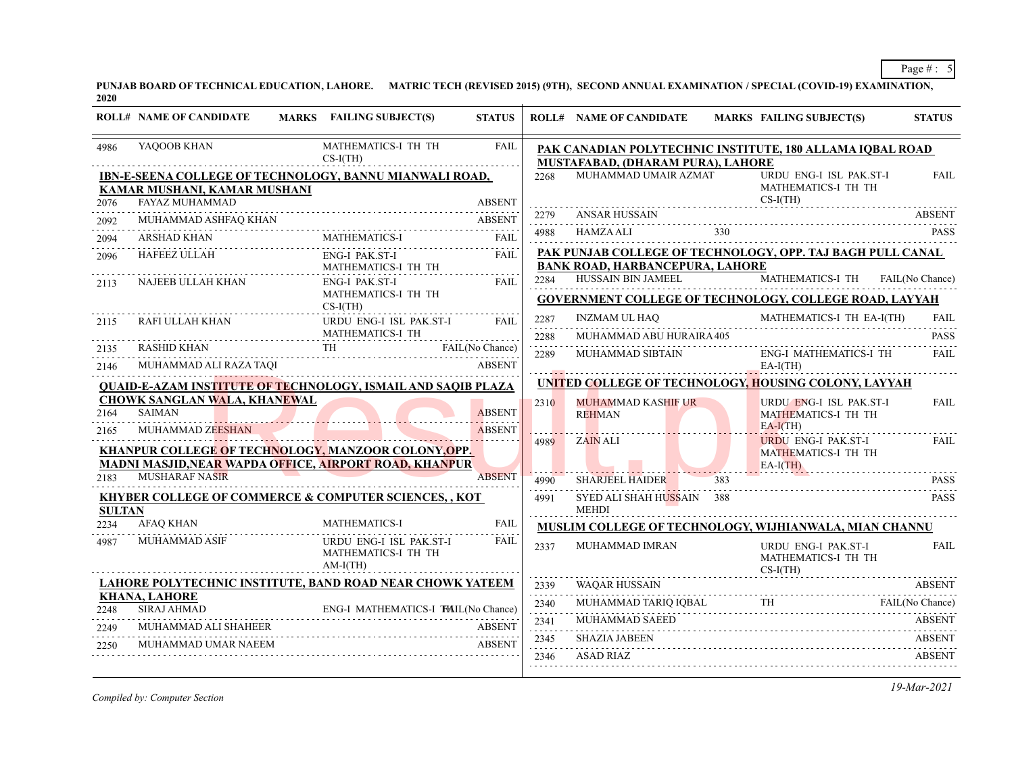**PUNJAB BOARD OF TECHNICAL EDUCATION, LAHORE. MATRIC TECH (REVISED 2015) (9TH), SECOND ANNUAL EXAMINATION / SPECIAL (COVID-19) EXAMINATION, 2020**

|               | <b>ROLL# NAME OF CANDIDATE</b>                                                                 | MARKS FAILING SUBJECT(S)                                     | <b>STATUS</b>      |                     | <b>ROLL# NAME OF CANDIDATE</b>                                                                               |     | <b>MARKS FAILING SUBJECT(S)</b>                              | <b>STATUS</b> |
|---------------|------------------------------------------------------------------------------------------------|--------------------------------------------------------------|--------------------|---------------------|--------------------------------------------------------------------------------------------------------------|-----|--------------------------------------------------------------|---------------|
| 4986          | YAQOOB KHAN                                                                                    | MATHEMATICS-I TH TH<br>$CS-I(TH)$                            | <b>FAIL</b>        |                     | PAK CANADIAN POLYTECHNIC INSTITUTE, 180 ALLAMA IQBAL ROAD<br>MUSTAFABAD, (DHARAM PURA), LAHORE               |     |                                                              |               |
|               | <b>IBN-E-SEENA COLLEGE OF TECHNOLOGY, BANNU MIANWALI ROAD,</b><br>KAMAR MUSHANI, KAMAR MUSHANI |                                                              |                    | 2268                | MUHAMMAD UMAIR AZMAT                                                                                         |     | URDU ENG-I ISL PAK.ST-I<br>MATHEMATICS-I TH TH               | FAIL          |
| 2076          | FAYAZ MUHAMMAD                                                                                 |                                                              | <b>ABSENT</b>      | 2279                | ANSAR HUSSAIN                                                                                                |     | $CS-I(TH)$                                                   | <b>ABSENT</b> |
| 2092          |                                                                                                |                                                              |                    | 4988                |                                                                                                              |     |                                                              | <b>PASS</b>   |
| 2094          | <b>ARSHAD KHAN</b>                                                                             |                                                              | <b>FAIL</b><br>.   |                     | $\begin{array}{c}\n\text{HAMZA ALI}\n\\ \n\text{YASI}\n\\ \n\text{YASI}\n\\ \n\text{YASI}\n\\ \n\end{array}$ |     |                                                              |               |
| 2096          | HAFEEZ ULLAH                                                                                   | ENG-I PAK.ST-I<br>MATHEMATICS-I TH TH                        | <b>FAIL</b>        |                     | PAK PUNJAB COLLEGE OF TECHNOLOGY, OPP. TAJ BAGH PULL CANAL<br><b>BANK ROAD, HARBANCEPURA, LAHORE</b>         |     |                                                              |               |
| 2113          | NAJEEB ULLAH KHAN                                                                              | ENG-I PAK.ST-I<br>MATHEMATICS-I TH TH                        | <b>FAIL</b>        |                     | 2284 HUSSAIN BIN JAMEEL<br>GOVERNMENT COLLEGE OF TECHNOLOGY, COLLEGE ROAD, LAYYAH                            |     | MATHEMATICS-I TH FAIL(No Chance)                             |               |
| 2115          | RAFI ULLAH KHAN                                                                                | $CS-I(TH)$<br>URDU ENG-I ISL PAK.ST-I                        | <b>FAIL</b>        | 2287                | INZMAM UL HAQ                                                                                                |     | MATHEMATICS-I TH EA-I(TH)                                    | FAIL          |
|               | <b>RASHID KHAN</b>                                                                             | MATHEMATICS-I TH                                             | FAIL(No Chance)    | 2288                | MUHAMMAD ABU HURAIRA 405                                                                                     |     |                                                              | <b>PASS</b>   |
| 2135<br>2146  | MUHAMMAD ALI RAZA TAQI                                                                         | FAIL (No Chance)<br>TH FAIL (No Chance)                      | <b>ABSENT</b>      | 2289                | MUHAMMAD SIBTAIN                                                                                             |     | ENG-I MATHEMATICS-I TH<br>$EA-I(TH)$                         | <b>FAIL</b>   |
|               | <u>QUAID-E-AZAM INSTITUTE OF TECHNOLOGY, ISMAIL AND SAQIB PLAZA</u>                            |                                                              |                    |                     | UNITED COLLEGE OF TECHNOLOGY, HOUSING COLONY, LAYYAH                                                         |     |                                                              |               |
| 2164          | <b>CHOWK SANGLAN WALA, KHANEWAL</b><br><b>SAIMAN</b>                                           |                                                              | <b>ABSENT</b><br>. | 2310                | MUHAMMAD KASHIF UR<br><b>REHMAN</b>                                                                          |     | URDU ENG-I ISL PAK.ST-I<br>MATHEMATICS-I TH TH<br>$EA-I(TH)$ | <b>FAIL</b>   |
| 2165          | MUHAMMAD ZEESHAN<br>KHANPUR COLLEGE OF TECHNOLOGY, MANZOOR COLONY, OPP.                        |                                                              | <b>ABSENT</b>      | 4989                | ZAIN ALI                                                                                                     |     | URDU ENG-I PAK.ST-I<br>MATHEMATICS-I TH TH                   | FAIL          |
|               | MADNI MASJID, NEAR WAPDA OFFICE, AIRPORT ROAD, KHANPUR<br><b>MUSHARAF NASIR</b>                |                                                              | <b>ABSENT</b>      |                     |                                                                                                              |     | $EA-I(TH)$                                                   |               |
| 2183          |                                                                                                |                                                              |                    | 4990                | SHARJEEL HAIDER                                                                                              | 383 |                                                              | <b>PASS</b>   |
| <b>SULTAN</b> | <b>KHYBER COLLEGE OF COMMERCE &amp; COMPUTER SCIENCES,, KOT</b>                                |                                                              |                    | 4991                | SYED ALI SHAH HUSSAIN 388<br><b>MEHDI</b>                                                                    |     |                                                              | <b>PASS</b>   |
| 2234          | AFAQ KHAN                                                                                      | <b>MATHEMATICS-I</b>                                         | <b>FAIL</b>        |                     | <b>MUSLIM COLLEGE OF TECHNOLOGY, WIJHIANWALA, MIAN CHANNU</b>                                                |     |                                                              |               |
| 4987          | MUHAMMAD ASIF                                                                                  | URDU ENG-I ISL PAK.ST-I<br>MATHEMATICS-I TH TH<br>$AM-I(TH)$ | <b>FAIL</b>        | 2337                | MUHAMMAD IMRAN                                                                                               |     | URDU ENG-I PAK.ST-I<br>MATHEMATICS-I TH TH<br>$CS-I(TH)$     | FAIL          |
|               | LAHORE POLYTECHNIC INSTITUTE, BAND ROAD NEAR CHOWK YATEEM                                      |                                                              |                    | 2339                | <b>WAQAR HUSSAIN</b>                                                                                         |     |                                                              | <b>ABSENT</b> |
| 2248          | <b>KHANA, LAHORE</b><br>SIRAJ AHMAD                                                            |                                                              |                    | $- - - - -$<br>2340 |                                                                                                              |     | MUHAMMAD TARIQ IQBAL TH FAIL(No Chance)                      |               |
|               | AHMAD ENG-I MATHEMATICS-I TAIL(No Chance)<br>MUHAMMAD ALI SHAHEER                              |                                                              |                    | 2341                | MUHAMMAD SAEED                                                                                               |     |                                                              | <b>ABSENT</b> |
| 2249          | MUHAMMAD UMAR NAEEM                                                                            |                                                              | <b>ABSENT</b>      | 2345                | <b>SHAZIA JABEEN</b>                                                                                         |     |                                                              | ABSENT        |
| 2250          |                                                                                                |                                                              |                    | 2346                | ASAD RIAZ                                                                                                    |     |                                                              | <b>ABSENT</b> |
|               |                                                                                                |                                                              |                    |                     |                                                                                                              |     |                                                              |               |

*Compiled by: Computer Section*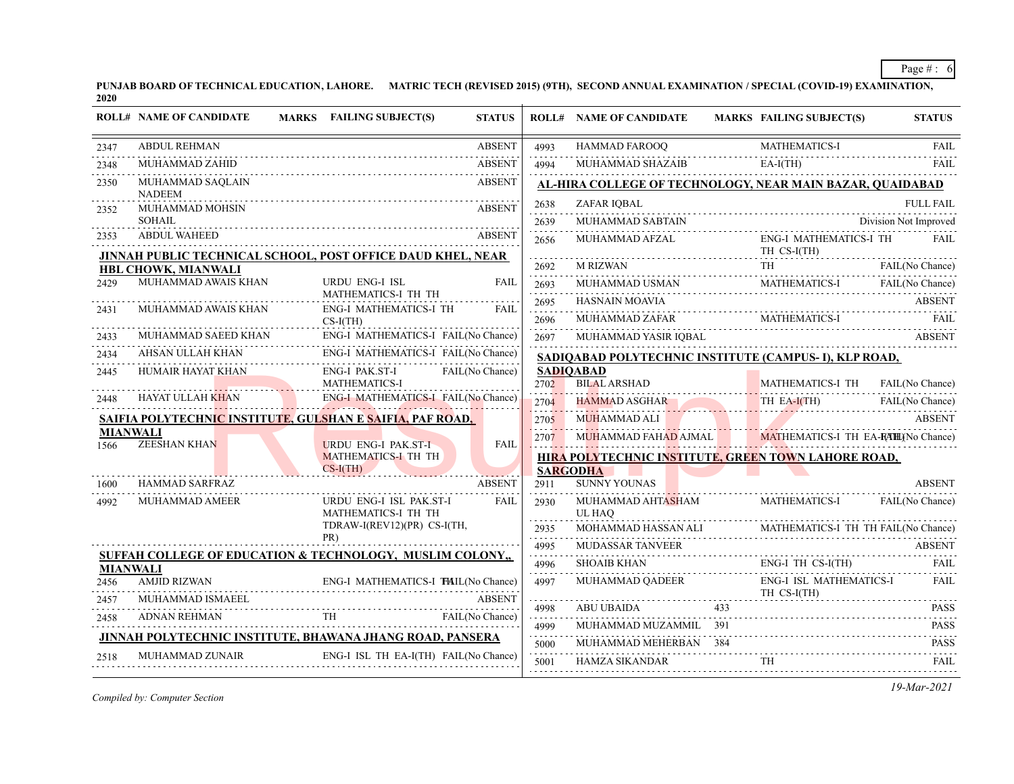**PUNJAB BOARD OF TECHNICAL EDUCATION, LAHORE. MATRIC TECH (REVISED 2015) (9TH), SECOND ANNUAL EXAMINATION / SPECIAL (COVID-19) EXAMINATION, 2020**

|                 | <b>ROLL# NAME OF CANDIDATE</b>    | <b>FAILING SUBJECT(S)</b><br><b>MARKS</b>                                          | <b>STATUS</b>   |                           | <b>ROLL# NAME OF CANDIDATE</b>             | MARKS FAILING SUBJECT(S)                                  | <b>STATUS</b>         |
|-----------------|-----------------------------------|------------------------------------------------------------------------------------|-----------------|---------------------------|--------------------------------------------|-----------------------------------------------------------|-----------------------|
| 2347            | <b>ABDUL REHMAN</b>               |                                                                                    | <b>ABSENT</b>   | 4993                      | HAMMAD FAROOQ                              | <b>MATHEMATICS-I</b>                                      | <b>FAIL</b><br>.      |
| 2348            | MUHAMMAD ZAHID                    |                                                                                    | <b>ABSENT</b>   | 4994                      | MUHAMMAD SHAZAIB                           | $EA-I(TH)$                                                | <b>FAIL</b>           |
| 2350            | MUHAMMAD SAQLAIN<br><b>NADEEM</b> |                                                                                    | <b>ABSENT</b>   |                           |                                            | AL-HIRA COLLEGE OF TECHNOLOGY, NEAR MAIN BAZAR, QUAIDABAD |                       |
| 2352            | MUHAMMAD MOHSIN                   |                                                                                    | <b>ABSENT</b>   | 2638<br>.                 | ZAFAR IOBAL                                |                                                           | <b>FULL FAIL</b>      |
|                 | SOHAIL                            |                                                                                    |                 | 2639                      |                                            | NUHAMMAD SABTAIN D                                        | Division Not Improved |
| 2353            | <b>ABDUL WAHEED</b>               | JINNAH PUBLIC TECHNICAL SCHOOL, POST OFFICE DAUD KHEL, NEAR                        | <b>ABSENT</b>   | 2656                      | MUHAMMAD AFZAL                             | <b>ENG-I MATHEMATICS-I TH</b><br>TH CS-I(TH)              | <b>FAIL</b>           |
|                 | HBL CHOWK, MIANWALI               |                                                                                    |                 | 2692<br>.                 |                                            | M RIZWAN FAIL (No Chance                                  | FAIL(No Chance)       |
| 2429            | MUHAMMAD AWAIS KHAN               | <b>URDU ENG-I ISL</b>                                                              | FAII.           | 2693                      |                                            | MUHAMMAD USMAN MATHEMATICS-I FAIL (No Chance)             |                       |
|                 | MUHAMMAD AWAIS KHAN               | MATHEMATICS-I TH TH<br><b>ENG-I MATHEMATICS-I TH</b>                               | <b>FAIL</b>     | .<br>2695                 | HASNAIN MOAVIA                             |                                                           | <b>ABSENT</b>         |
| 2431            |                                   | $CS-I(TH)$                                                                         |                 | .<br>2696                 |                                            |                                                           |                       |
| 2433            | MUHAMMAD SAEED KHAN               | ENG-I MATHEMATICS-I FAIL(No Chance)                                                |                 | .<br>2697                 |                                            |                                                           | <b>ABSENT</b>         |
| 2434            | AHSAN ULLAH KHAN                  | ENG-I MATHEMATICS-I FAIL(No Chance)<br>N<br>ENG-I MATHEMATICS-I FAIL(No Chance)    |                 |                           |                                            | SADIQABAD POLYTECHNIC INSTITUTE (CAMPUS- I), KLP ROAD,    |                       |
| 2445            | HUMAIR HAYAT KHAN                 | ENG-I PAK.ST-I                                                                     | FAIL(No Chance) |                           | <b>SADIOABAD</b>                           |                                                           |                       |
|                 |                                   | MATHEMATICS-I<br>ENG-I MATHEMATICS-I FAIL(No Chance)                               |                 | 2702                      | <b>BILAL ARSHAD</b>                        | MATHEMATICS-I TH FAIL(No Chance)<br>.                     |                       |
| 2448            | HAYAT ULLAH KHAN                  |                                                                                    |                 | 2704                      |                                            | HAMMAD ASGHAR THEA-I(TH) FAIL(No Chance)                  | FAIL(No Chance)       |
|                 | <b>MIANWALI</b>                   | SAIFIA POLYTECHNIC INSTITUTE, GULSHAN E SAIFIA, PAF ROAD,                          |                 | 2705<br>1. <del>. .</del> | MUHAMMAD ALI                               |                                                           | <b>ABSENT</b>         |
| 1566            | <b>ZEESHAN KHAN</b>               | <b>URDU ENG-I PAK.ST-I</b>                                                         | <b>FAIL</b>     | 2707                      |                                            | MUHAMMAD FAHAD AJMAL MATHEMATICS-I TH EA-RAHLINO Chance)  |                       |
|                 |                                   | <b>MATHEMATICS-I TH TH</b><br>$CS-I(TH)$                                           |                 |                           |                                            | HIRA POLYTECHNIC INSTITUTE, GREEN TOWN LAHORE ROAD,       |                       |
| 1600            | <b>HAMMAD SARFRAZ</b>             |                                                                                    | <b>ABSENT</b>   | 2911                      | <b>SARGODHA</b><br><b>SUNNY YOUNAS</b>     |                                                           | <b>ABSENT</b>         |
| 4992            | <b>MUHAMMAD AMEER</b>             | URDU ENG-I ISL PAK.ST-I<br>MATHEMATICS-I TH TH                                     | <b>FAIL</b>     | 2930                      | MUHAMMAD AHT <mark>AS</mark> HAM<br>UL HAO | MATHEMATICS-I                                             | FAIL(No Chance)       |
|                 |                                   | TDRAW-I(REV12)(PR) CS-I(TH,                                                        |                 | 2935                      |                                            | MOHAMMAD HASSAN ALI MATHEMATICS-I TH TH FAIL(No Chance)   |                       |
|                 |                                   | PR)                                                                                |                 | .<br>4995                 | MUDASSAR TANVEER                           |                                                           | <b>ABSENT</b>         |
| <b>MIANWALI</b> |                                   | SUFFAH COLLEGE OF EDUCATION & TECHNOLOGY, MUSLIM COLONY,                           |                 | .<br>4996                 | SHOAIB KHAN ENG                            | $ENG-I TH CS-I(TH)$                                       | FAIL.                 |
| 2456            | <b>AMJID RIZWAN</b>               | ENG-I MATHEMATICS-I THAL(No Chance)<br>ENG-I MATHEMATICS-I <b>FAIL</b> (No Chance) |                 | .<br>4997                 | MUHAMMAD OADEER                            | ENG-I ISL MATHEMATICS-I<br>TH CS-I(TH)                    | <b>FAIL</b>           |
| 2457            | MUHAMMAD ISMAEEL                  |                                                                                    | <b>ABSENT</b>   | and a strategies<br>4998  | ABU UBAIDA                                 | 433                                                       | <b>PASS</b>           |
| 2458            | <b>ADNAN REHMAN</b>               | VREHMAN TH                                                                         | FAIL(No Chance) | .<br>4999                 | MUHAMMAD MUZAMMIL 391                      |                                                           | <b>PASS</b>           |
|                 |                                   | JINNAH POLYTECHNIC INSTITUTE, BHAWANA JHANG ROAD, PANSERA                          |                 | 5000                      | MUHAMMAD MEHERBAN 384                      |                                                           | <b>PASS</b>           |
| 2518            | <b>MUHAMMAD ZUNAIR</b>            | ENG-I ISL TH EA-I(TH) FAIL(No Chance)                                              |                 | 5001                      | <b>HAMZA SIKANDAR</b>                      | TH<br>HAMZA SIKANDAR TH FAIL                              |                       |
|                 |                                   |                                                                                    |                 |                           |                                            |                                                           |                       |

*Compiled by: Computer Section*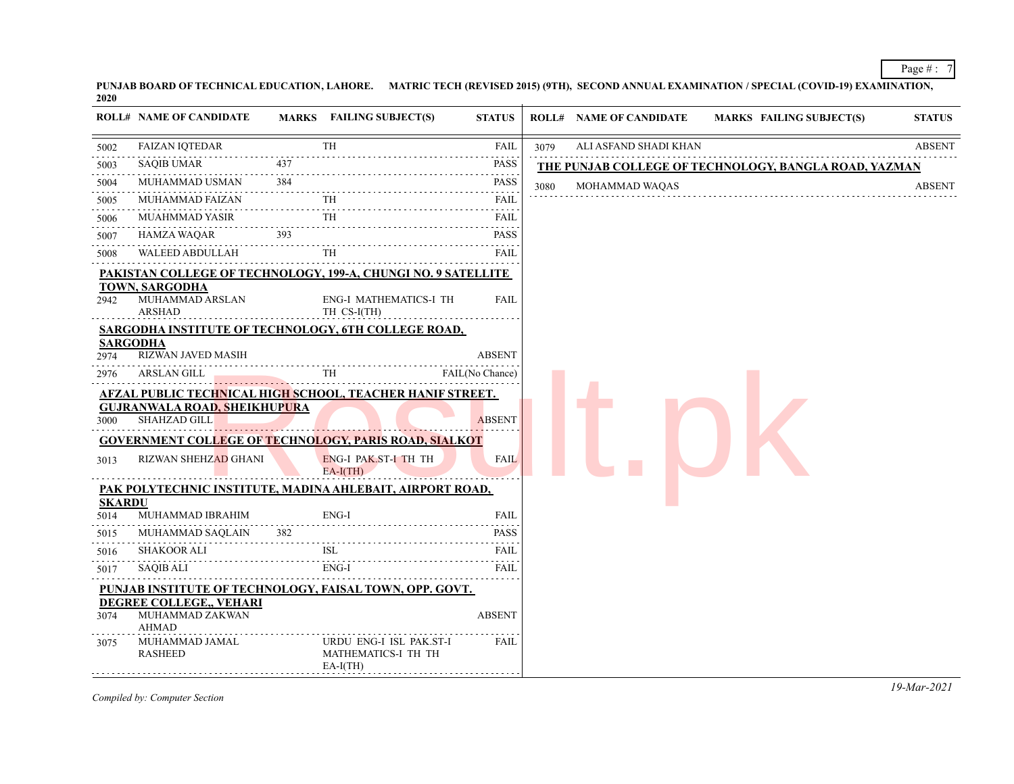**PUNJAB BOARD OF TECHNICAL EDUCATION, LAHORE. MATRIC TECH (REVISED 2015) (9TH), SECOND ANNUAL EXAMINATION / SPECIAL (COVID-19) EXAMINATION, 2020**

|                       | <b>ROLL# NAME OF CANDIDATE</b>              |     | <b>MARKS</b> FAILING SUBJECT(S)                                      | <b>STATUS</b> |      | <b>ROLL# NAME OF CANDIDATE</b> | <b>MARKS FAILING SUBJECT(S)</b>                       | <b>STATUS</b> |
|-----------------------|---------------------------------------------|-----|----------------------------------------------------------------------|---------------|------|--------------------------------|-------------------------------------------------------|---------------|
| 5002                  | FAIZAN IQTEDAR                              |     | <b>TH</b>                                                            | FAIL          | 3079 | ALI ASFAND SHADI KHAN          |                                                       | <b>ABSENT</b> |
| 5003                  | SAQIB UMAR                                  | 437 |                                                                      | PASS          |      |                                | THE PUNJAB COLLEGE OF TECHNOLOGY, BANGLA ROAD, YAZMAN |               |
| 5004                  | MUHAMMAD USMAN 384                          |     |                                                                      | <b>PASS</b>   | 3080 | MOHAMMAD WAQAS                 |                                                       | <b>ABSENT</b> |
| 5005                  | MUHAMMAD FAIZAN                             |     | $\frac{1}{10}$                                                       | FAIL          |      |                                |                                                       |               |
| 5006                  | MUAHMMAD YASIR                              |     | TH                                                                   | FAIL          |      |                                |                                                       |               |
| 5007                  |                                             |     | HAMZA WAQAR 393<br>www.indivision.com/                               | <b>PASS</b>   |      |                                |                                                       |               |
| 5008                  | WALEED ABDULLAH                             |     | <b>TH</b>                                                            | FAIL          |      |                                |                                                       |               |
|                       |                                             |     | <b>PAKISTAN COLLEGE OF TECHNOLOGY, 199-A, CHUNGI NO. 9 SATELLITE</b> |               |      |                                |                                                       |               |
| 2942                  | TOWN, SARGODHA<br>MUHAMMAD ARSLAN<br>ARSHAD |     | <b>ENG-I MATHEMATICS-I TH</b><br>TH CS-I(TH)                         | <b>FAIL</b>   |      |                                |                                                       |               |
|                       |                                             |     | SARGODHA INSTITUTE OF TECHNOLOGY, 6TH COLLEGE ROAD,                  |               |      |                                |                                                       |               |
|                       | <b>SARGODHA</b>                             |     |                                                                      |               |      |                                |                                                       |               |
| 2974                  | RIZWAN JAVED MASIH                          |     |                                                                      | <b>ABSENT</b> |      |                                |                                                       |               |
| 2976                  | ARSLAN GILL                                 |     | GILL TH FAIL(No Chance)                                              |               |      |                                |                                                       |               |
|                       | <b>GUJRANWALA ROAD, SHEIKHUPURA</b>         |     | <b>AFZAL PUBLIC TECHNICAL HIGH SCHOOL, TEACHER HANIF STREET.</b>     |               |      |                                |                                                       |               |
| 3000                  | <b>SHAHZAD GILL</b>                         |     |                                                                      | <b>ABSENT</b> |      |                                |                                                       |               |
|                       |                                             |     | <b>GOVERNMENT COLLEGE OF TECHNOLOGY, PARIS ROAD, SIALKOT</b>         |               |      |                                |                                                       |               |
| 3013                  | <b>RIZWAN SHEHZAD GHANI</b>                 |     | ENG-I PAK ST-I TH TH<br>$EA-I(TH)$                                   | <b>FAIL</b>   |      |                                |                                                       |               |
|                       |                                             |     | PAK POLYTECHNIC INSTITUTE, MADINA AHLEBAIT, AIRPORT ROAD,            |               |      |                                |                                                       |               |
| <b>SKARDU</b><br>5014 | MUHAMMAD IBRAHIM                            |     | ENG-I                                                                | <b>FAIL</b>   |      |                                |                                                       |               |
| 5015                  |                                             |     |                                                                      |               |      |                                |                                                       |               |
| 5016                  | SHAKOOR ALI                                 |     | MUHAMMAD SAQLAIN 382 PASS<br><b>ISL</b>                              | <b>FAIL</b>   |      |                                |                                                       |               |
| 5017                  | SAQIB ALI                                   |     | ENG-I                                                                | FAIL          |      |                                |                                                       |               |
|                       |                                             |     | PUNJAB INSTITUTE OF TECHNOLOGY, FAISAL TOWN, OPP. GOVT.              |               |      |                                |                                                       |               |
|                       | DEGREE COLLEGE,, VEHARI                     |     |                                                                      |               |      |                                |                                                       |               |
| 3074                  | MUHAMMAD ZAKWAN<br>AHMAD                    |     |                                                                      | <b>ABSENT</b> |      |                                |                                                       |               |
| 3075                  | MUHAMMAD JAMAL<br>RASHEED                   |     | URDU ENG-I ISL PAK.ST-I<br>MATHEMATICS-I TH TH<br>$EA-I(TH)$         | <b>FAIL</b>   |      |                                |                                                       |               |
|                       |                                             |     |                                                                      |               |      |                                |                                                       |               |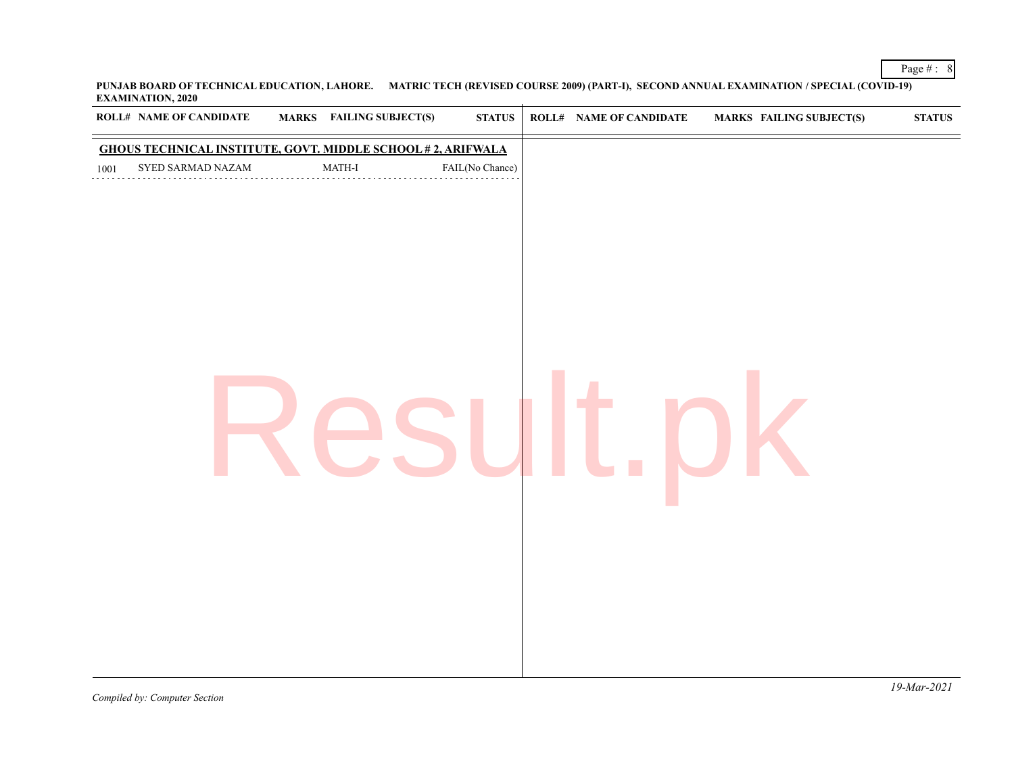**PUNJAB BOARD OF TECHNICAL EDUCATION, LAHORE. MATRIC TECH (REVISED COURSE 2009) (PART-I), SECOND ANNUAL EXAMINATION / SPECIAL (COVID-19) EXAMINATION, 2020**

|      | ROLL# NAME OF CANDIDATE | MARKS FAILING SUBJECT(S)                                           | ${\bf STATUS}$  | <b>ROLL# NAME OF CANDIDATE</b> | <b>MARKS FAILING SUBJECT(S)</b> | $\boldsymbol{\text{STATUS}}$ |
|------|-------------------------|--------------------------------------------------------------------|-----------------|--------------------------------|---------------------------------|------------------------------|
|      |                         | <b>GHOUS TECHNICAL INSTITUTE, GOVT. MIDDLE SCHOOL #2, ARIFWALA</b> |                 |                                |                                 |                              |
| 1001 | SYED SARMAD NAZAM       | MATH-I                                                             | FAIL(No Chance) |                                |                                 |                              |
|      |                         |                                                                    |                 |                                |                                 |                              |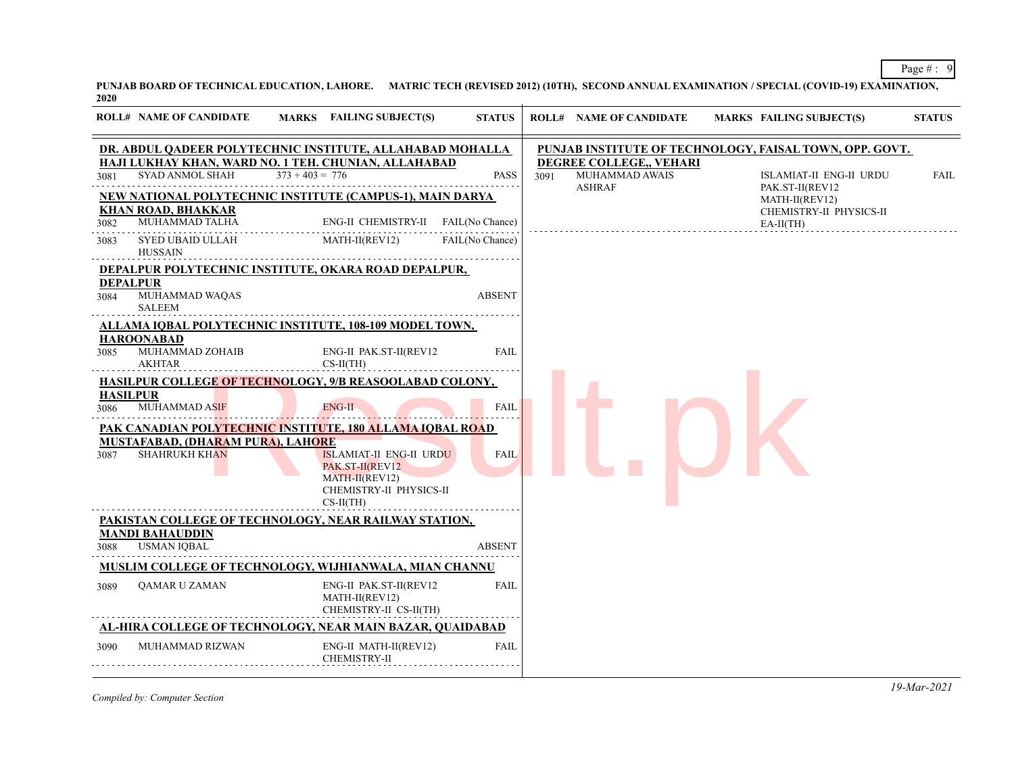**PUNJAB BOARD OF TECHNICAL EDUCATION, LAHORE. MATRIC TECH (REVISED 2012) (10TH), SECOND ANNUAL EXAMINATION / SPECIAL (COVID-19) EXAMINATION, 2020**

|      | <b>ROLL# NAME OF CANDIDATE</b>                            | MARKS FAILING SUBJECT(S)                                                                                                                                                                                  | <b>STATUS</b>   |      | <b>ROLL# NAME OF CANDIDATE</b>                             |                                                                                                       | <b>MARKS FAILING SUBJECT(S)</b>                          | <b>STATUS</b> |
|------|-----------------------------------------------------------|-----------------------------------------------------------------------------------------------------------------------------------------------------------------------------------------------------------|-----------------|------|------------------------------------------------------------|-------------------------------------------------------------------------------------------------------|----------------------------------------------------------|---------------|
| 3081 | SYAD ANMOL SHAH                                           | DR. ABDUL QADEER POLYTECHNIC INSTITUTE, ALLAHABAD MOHALLA<br>HAJI LUKHAY KHAN, WARD NO. 1 TEH. CHUNIAN, ALLAHABAD<br>$373 + 403 = 776$                                                                    | <b>PASS</b>     | 3091 | DEGREE COLLEGE,, VEHARI<br>MUHAMMAD AWAIS<br><b>ASHRAF</b> | PUNJAB INSTITUTE OF TECHNOLOGY, FAISAL TOWN, OPP. GOVT.<br>ISLAMIAT-II ENG-II URDU<br>PAK.ST-II(REV12 | FAIL                                                     |               |
| 3082 | <b>KHAN ROAD, BHAKKAR</b><br>MUHAMMAD TALHA               | <b>NEW NATIONAL POLYTECHNIC INSTITUTE (CAMPUS-1), MAIN DARYA</b><br>ENG-II CHEMISTRY-II FAIL(No Chance)<br>.                                                                                              |                 |      |                                                            |                                                                                                       | MATH-II(REV12)<br>CHEMISTRY-II PHYSICS-II<br>$EA-II(TH)$ |               |
| 3083 | SYED UBAID ULLAH<br><b>HUSSAIN</b>                        | MATH-II(REV12)                                                                                                                                                                                            | FAIL(No Chance) |      |                                                            |                                                                                                       |                                                          |               |
| 3084 | <b>DEPALPUR</b><br>MUHAMMAD WAQAS                         | DEPALPUR POLYTECHNIC INSTITUTE, OKARA ROAD DEPALPUR,                                                                                                                                                      | <b>ABSENT</b>   |      |                                                            |                                                                                                       |                                                          |               |
|      | <b>SALEEM</b>                                             | ALLAMA IQBAL POLYTECHNIC INSTITUTE, 108-109 MODEL TOWN,                                                                                                                                                   |                 |      |                                                            |                                                                                                       |                                                          |               |
| 3085 | <b>HAROONABAD</b><br>MUHAMMAD ZOHAIB<br>AKHTAR            | ENG-II PAK.ST-II(REV12<br>$CS-II(TH)$                                                                                                                                                                     | <b>FAIL</b>     |      |                                                            |                                                                                                       |                                                          |               |
| 3086 | <b>HASILPUR</b><br>MUHAMMAD ASIF                          | <b>HASILPUR COLLEGE OF TECHNOLOGY, 9/B REASOOLABAD COLONY,</b><br>ENG-II                                                                                                                                  | <b>FAIL</b>     |      |                                                            |                                                                                                       |                                                          |               |
| 3087 | MUSTAFABAD, (DHARAM PURA), LAHORE<br><b>SHAHRUKH KHAN</b> | <u> 1994 - Personal I</u><br>PAK CANADIAN POLYTECHNIC INSTITUTE, 180 ALLAMA IQBAL ROAD<br><b>ISLAMIAT-II ENG-II URDU</b><br>PAK.ST-II(REV12<br>$MATH-II(REV12)$<br>CHEMISTRY-II PHYSICS-II<br>$CS-II(TH)$ | <b>FAIL</b>     |      |                                                            |                                                                                                       |                                                          |               |
| 3088 | <b>MANDI BAHAUDDIN</b><br><b>USMAN IQBAL</b>              | PAKISTAN COLLEGE OF TECHNOLOGY, NEAR RAILWAY STATION,                                                                                                                                                     | <b>ABSENT</b>   |      |                                                            |                                                                                                       |                                                          |               |
|      |                                                           | <b>MUSLIM COLLEGE OF TECHNOLOGY, WIJHIANWALA, MIAN CHANNU</b>                                                                                                                                             |                 |      |                                                            |                                                                                                       |                                                          |               |
| 3089 | QAMAR U ZAMAN                                             | ENG-II PAK.ST-II(REV12<br>MATH-II(REV12)<br>CHEMISTRY-II CS-II(TH)                                                                                                                                        | <b>FAIL</b>     |      |                                                            |                                                                                                       |                                                          |               |
|      |                                                           | AL-HIRA COLLEGE OF TECHNOLOGY, NEAR MAIN BAZAR, QUAIDABAD                                                                                                                                                 |                 |      |                                                            |                                                                                                       |                                                          |               |
| 3090 | MUHAMMAD RIZWAN                                           | ENG-II MATH-II(REV12)<br><b>CHEMISTRY-II</b>                                                                                                                                                              | <b>FAIL</b>     |      |                                                            |                                                                                                       |                                                          |               |

*Compiled by: Computer Section*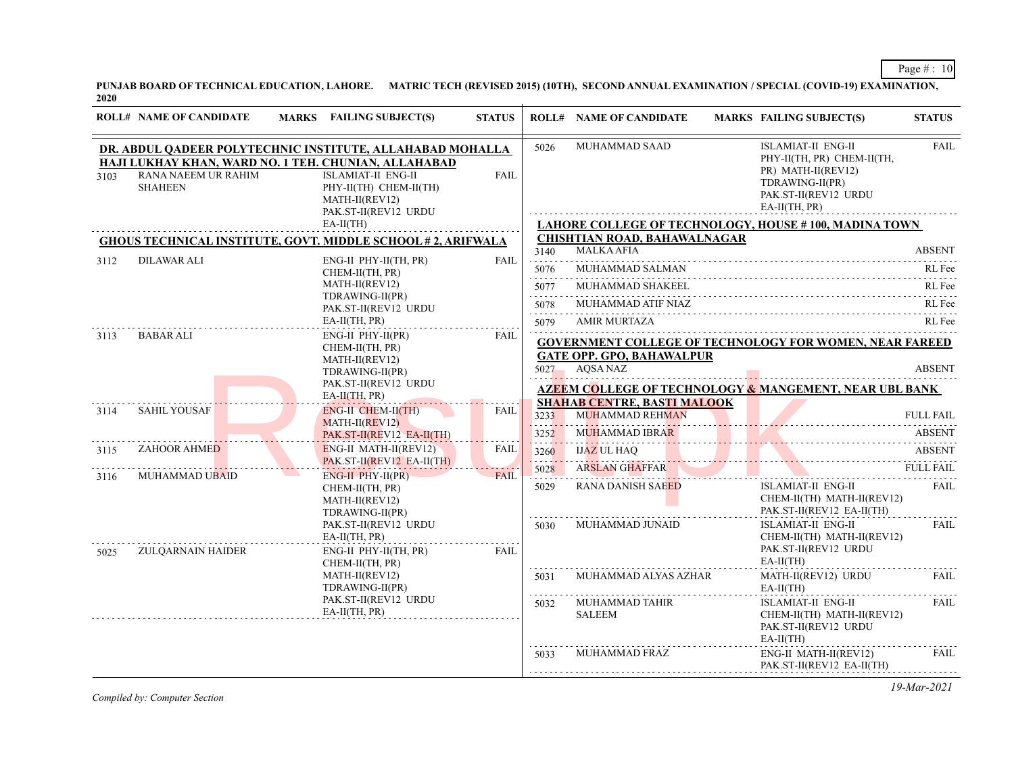**PUNJAB BOARD OF TECHNICAL EDUCATION, LAHORE. MATRIC TECH (REVISED 2015) (10TH), SECOND ANNUAL EXAMINATION / SPECIAL (COVID-19) EXAMINATION, 2020**

|      | <b>ROLL# NAME OF CANDIDATE</b>                                                             | <b>MARKS</b> FAILING SUBJECT(S)                                                                                                                                                                                    | <b>STATUS</b> |                            | <b>ROLL# NAME OF CANDIDATE</b>               | MARKS FAILING SUBJECT(S)                                                                                                                    | <b>STATUS</b>            |                                                                               |             |                                         |           |                  |
|------|--------------------------------------------------------------------------------------------|--------------------------------------------------------------------------------------------------------------------------------------------------------------------------------------------------------------------|---------------|----------------------------|----------------------------------------------|---------------------------------------------------------------------------------------------------------------------------------------------|--------------------------|-------------------------------------------------------------------------------|-------------|-----------------------------------------|-----------|------------------|
| 3103 | RANA NAEEM UR RAHIM<br><b>SHAHEEN</b>                                                      | DR. ABDUL QADEER POLYTECHNIC INSTITUTE, ALLAHABAD MOHALLA<br>HAJI LUKHAY KHAN, WARD NO. 1 TEH. CHUNIAN, ALLAHABAD<br><b>ISLAMIAT-II ENG-II</b><br>PHY-II(TH) CHEM-II(TH)<br>MATH-II(REV12)<br>PAK.ST-II(REV12 URDU | <b>FAIL</b>   | 5026                       | MUHAMMAD SAAD                                | <b>ISLAMIAT-II ENG-II</b><br>PHY-II(TH, PR) CHEM-II(TH,<br>PR) MATH-II(REV12)<br>TDRAWING-II(PR)<br>PAK.ST-II(REV12 URDU<br>$EA-II(TH, PR)$ | <b>FAIL</b>              |                                                                               |             |                                         |           |                  |
|      |                                                                                            | $EA-II(TH)$                                                                                                                                                                                                        |               |                            |                                              | <b>LAHORE COLLEGE OF TECHNOLOGY, HOUSE #100, MADINA TOWN</b>                                                                                |                          |                                                                               |             |                                         |           |                  |
|      |                                                                                            | <b>GHOUS TECHNICAL INSTITUTE, GOVT. MIDDLE SCHOOL #2, ARIFWALA</b>                                                                                                                                                 |               |                            | <b>CHISHTIAN ROAD, BAHAWALNAGAR</b>          |                                                                                                                                             |                          |                                                                               |             |                                         |           |                  |
|      | DILAWAR ALI                                                                                | ENG-II PHY-II(TH, PR)                                                                                                                                                                                              |               | 3140<br>.                  | <b>MALKA AFIA</b>                            |                                                                                                                                             | <b>ABSENT</b>            |                                                                               |             |                                         |           |                  |
| 3112 |                                                                                            | CHEM-II(TH, PR)                                                                                                                                                                                                    | FAIL          | 5076                       | MUHAMMAD SALMAN                              |                                                                                                                                             | RL Fee                   |                                                                               |             |                                         |           |                  |
|      |                                                                                            | MATH-II(REV12)                                                                                                                                                                                                     |               | .                          | MUHAMMAD SHAKEEL                             | 5077 MUHAMMAD SHAKEEL RL Fee                                                                                                                |                          |                                                                               |             |                                         |           |                  |
|      |                                                                                            | TDRAWING-II(PR)<br>PAK.ST-II(REV12 URDU                                                                                                                                                                            |               | 5078                       | MUHAMMAD ATIF NIAZ                           |                                                                                                                                             | RL Fee                   |                                                                               |             |                                         |           |                  |
|      |                                                                                            | EA-II(TH, PR)                                                                                                                                                                                                      |               | .<br>5079                  | <b>AMIR MURTAZA</b>                          |                                                                                                                                             | RL Fee                   |                                                                               |             |                                         |           |                  |
| 3113 | $ENG-II$ $PHY-II(PR)$<br>BABAR ALI<br>CHEM-II(TH, PR)<br>MATH-II(REV12)<br>TDRAWING-II(PR) |                                                                                                                                                                                                                    |               | $5027 -$                   | <b>GATE OPP. GPO, BAHAWALPUR</b><br>AOSA NAZ | <b>GOVERNMENT COLLEGE OF TECHNOLOGY FOR WOMEN, NEAR FAREED</b>                                                                              | <b>ABSENT</b>            |                                                                               |             |                                         |           |                  |
|      |                                                                                            | PAK.ST-II(REV12 URDU                                                                                                                                                                                               |               |                            |                                              |                                                                                                                                             |                          |                                                                               |             |                                         |           |                  |
|      |                                                                                            | EA-II(TH, PR)                                                                                                                                                                                                      |               |                            | <b>SHAHAB CENTRE, BASTI MALOOK</b>           | AZEEM COLLEGE OF TECHNOLOGY & MANGEMENT, NEAR UBL BANK                                                                                      |                          |                                                                               |             |                                         |           |                  |
| 3114 | <b>SAHIL YOUSAF</b>                                                                        | <b>ENG-II CHEM-II(TH)</b><br>$MATH-II(REV12)$                                                                                                                                                                      | FAIL          |                            | 3233                                         | <b>MUHAMMAD REHMAN</b>                                                                                                                      |                          | <b>FULL FAIL</b>                                                              |             |                                         |           |                  |
|      |                                                                                            | PAK.ST-II(REV12 EA-II(TH)                                                                                                                                                                                          |               | 3252<br><b>Designation</b> | <b>MUHAMMAD IBRAR</b>                        | MUHAMMAD IBRAR ABSENT                                                                                                                       | <b>ABSENT</b>            |                                                                               |             |                                         |           |                  |
| 3115 | ZAHOOR AHMED                                                                               | <b>ENG-II MATH-II(REV12)</b>                                                                                                                                                                                       | <b>FAIL</b>   | 3260<br>.                  | <b>IJAZ UL HAO</b>                           | $\frac{10\text{A}}{200\text{A}}$                                                                                                            | <b>ABSENT</b>            |                                                                               |             |                                         |           |                  |
| 3116 | <b>MUHAMMAD UBAID</b>                                                                      | PAK.ST-II(REV12 EA-II(TH)<br>$ENG-II$ $PHY-II(PR)$                                                                                                                                                                 | <b>FAIL</b>   |                            |                                              |                                                                                                                                             |                          |                                                                               | 5028        | <b>ARSLAN GHAFFAR</b><br>ARSLAN GHAFFAR | FULL FAIL | <b>FULL FAIL</b> |
|      |                                                                                            | CHEM-II(TH, PR)<br>MATH-II(REV12)<br>TDRAWING-II(PR)                                                                                                                                                               |               |                            |                                              | 5029                                                                                                                                        | <b>RANA DANISH SAEED</b> | ISLAMIAT-II ENG-II<br>CHEM-II(TH) MATH-II(REV12)<br>PAK.ST-II(REV12 EA-II(TH) | <b>FAIL</b> |                                         |           |                  |
| 5025 | <b>ZULQARNAIN HAIDER</b>                                                                   | PAK.ST-II(REV12 URDU<br>EA-II(TH, PR)<br>ENG-II PHY-II(TH, PR)                                                                                                                                                     | FAIL          | 5030                       | MUHAMMAD JUNAID                              | <b>ISLAMIAT-II ENG-II</b><br>CHEM-II(TH) MATH-II(REV12)<br>PAK.ST-II(REV12 URDU                                                             | <b>FAIL</b>              |                                                                               |             |                                         |           |                  |
|      |                                                                                            | CHEM-II(TH, PR)                                                                                                                                                                                                    |               | .                          |                                              | $EA-II(TH)$                                                                                                                                 |                          |                                                                               |             |                                         |           |                  |
|      |                                                                                            | MATH-II(REV12)<br>TDRAWING-II(PR)                                                                                                                                                                                  |               | 5031<br>.                  | MUHAMMAD ALYAS AZHAR                         | MATH-II(REV12) URDU<br>$EA-II(TH)$                                                                                                          | FAIL.                    |                                                                               |             |                                         |           |                  |
|      |                                                                                            | PAK.ST-II(REV12 URDU<br>EA-II(TH, PR)                                                                                                                                                                              |               | 5032                       | MUHAMMAD TAHIR<br><b>SALEEM</b>              | <b>ISLAMIAT-II ENG-II</b><br>CHEM-II(TH) MATH-II(REV12)<br>PAK.ST-II(REV12 URDU<br>$EA-II(TH)$                                              | FAIL.                    |                                                                               |             |                                         |           |                  |
|      |                                                                                            |                                                                                                                                                                                                                    |               | 5033                       | <b>MUHAMMAD FRAZ</b>                         | ENG-II MATH-II(REV12)<br>PAK.ST-II(REV12 EA-II(TH)                                                                                          | <b>FAIL</b><br>.         |                                                                               |             |                                         |           |                  |

*Compiled by: Computer Section*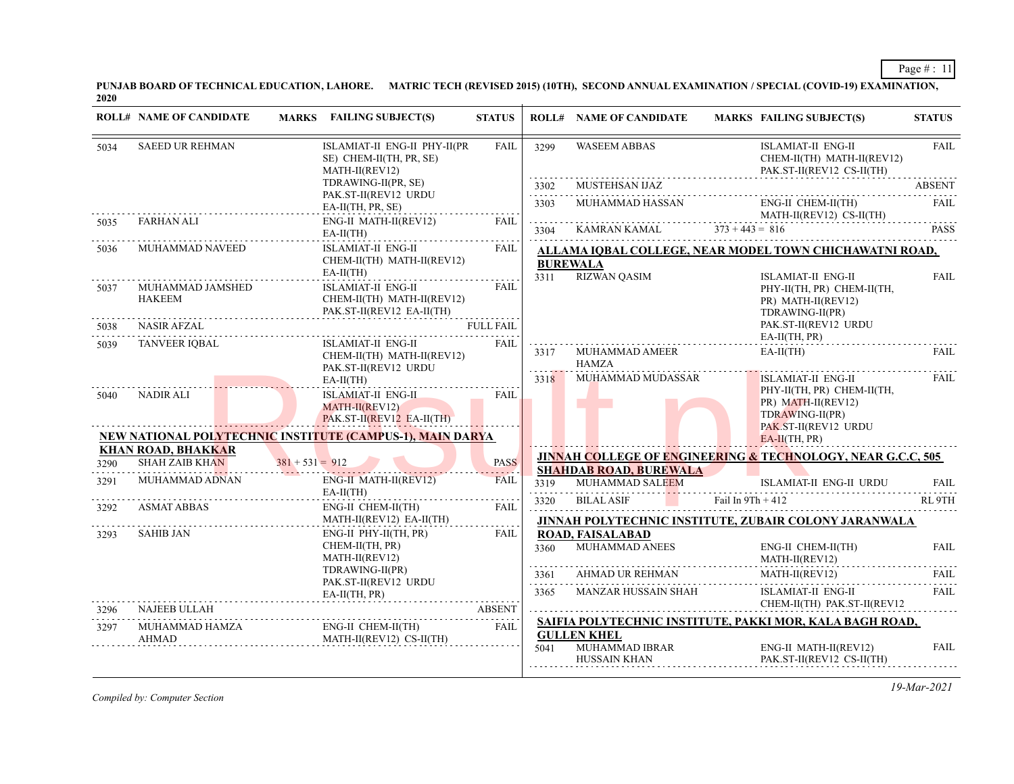**PUNJAB BOARD OF TECHNICAL EDUCATION, LAHORE. MATRIC TECH (REVISED 2015) (10TH), SECOND ANNUAL EXAMINATION / SPECIAL (COVID-19) EXAMINATION, 2020**

|              | <b>ROLL# NAME OF CANDIDATE</b>                   | MARKS FAILING SUBJECT(S)                                                                                                                                 | <b>STATUS</b>                   |                     | <b>ROLL# NAME OF CANDIDATE</b>                       |                     | <b>MARKS FAILING SUBJECT(S)</b>                                                                                                             | <b>STATUS</b>                                                                                                                                                                           |
|--------------|--------------------------------------------------|----------------------------------------------------------------------------------------------------------------------------------------------------------|---------------------------------|---------------------|------------------------------------------------------|---------------------|---------------------------------------------------------------------------------------------------------------------------------------------|-----------------------------------------------------------------------------------------------------------------------------------------------------------------------------------------|
| 5034         | <b>SAEED UR REHMAN</b>                           | ISLAMIAT-II ENG-II PHY-II(PR<br>SE) CHEM-II(TH, PR, SE)<br>MATH-II(REV12)                                                                                | <b>FAIL</b>                     | 3299                | <b>WASEEM ABBAS</b>                                  |                     | ISLAMIAT-II ENG-II<br>CHEM-II(TH) MATH-II(REV12)<br>PAK.ST-II(REV12 CS-II(TH)                                                               | <b>FAIL</b><br><b>ABSENT</b><br>FAIL<br><b>PASS</b><br><b>FAIL</b><br>FAIL<br>FAIL<br><b>FAIL</b><br>RL <sub>9TH</sub><br><b>FAIL</b><br><b>FAIL</b><br>.<br><b>FAIL</b><br><b>FAIL</b> |
|              |                                                  | TDRAWING-II(PR, SE)                                                                                                                                      |                                 | 3302                | <b>MUSTEHSAN IJAZ</b>                                |                     |                                                                                                                                             |                                                                                                                                                                                         |
|              |                                                  | PAK.ST-II(REV12 URDU<br>EA-II(TH, PR, SE)                                                                                                                |                                 | 2.2.2.2.2.2<br>3303 | MUHAMMAD HASSAN                                      |                     | ENG-II CHEM-II(TH)<br>MATH-II(REV12) CS-II(TH)                                                                                              |                                                                                                                                                                                         |
| 5035         | <b>FARHAN ALI</b>                                | ENG-II MATH-II(REV12)<br>$EA-II(TH)$                                                                                                                     | <b>FAIL</b>                     | .<br>3304           | KAMRAN KAMAL                                         | $373 + 443 = 816$   |                                                                                                                                             |                                                                                                                                                                                         |
| 5036         | MUHAMMAD NAVEED                                  | ISLAMIAT-II ENG-II<br>CHEM-II(TH) MATH-II(REV12)<br>$EA-II(TH)$                                                                                          | <b>FAIL</b>                     | 3311                | <b>BUREWALA</b><br><b>RIZWAN QASIM</b>               |                     | ALLAMA IOBAL COLLEGE. NEAR MODEL TOWN CHICHAWATNI ROAD.<br><b>ISLAMIAT-II ENG-II</b>                                                        |                                                                                                                                                                                         |
| 5037<br>5038 | MUHAMMAD JAMSHED<br><b>HAKEEM</b><br>NASIR AFZAL | <b>ISLAMIAT-II ENG-II</b><br>CHEM-II(TH) MATH-II(REV12)<br>PAK.ST-II(REV12 EA-II(TH)                                                                     | <b>FAIL</b><br><b>FULL FAIL</b> |                     |                                                      |                     | PHY-II(TH, PR) CHEM-II(TH,<br>PR) MATH-II(REV12)<br>TDRAWING-II(PR)<br>PAK.ST-II(REV12 URDU                                                 |                                                                                                                                                                                         |
| 5039         | <b>TANVEER IQBAL</b>                             | <b>ISLAMIAT-II ENG-II</b><br>CHEM-II(TH) MATH-II(REV12)<br>PAK.ST-II(REV12 URDU                                                                          | <b>FAIL</b>                     | 3317                | MUHAMMAD AMEER<br><b>HAMZA</b>                       |                     | $EA-II(TH, PR)$<br>$EA-II(TH)$                                                                                                              |                                                                                                                                                                                         |
| 5040         | <b>NADIR ALI</b>                                 | $EA-II(TH)$<br><b>ISLAMIAT-II ENG-II</b><br>$MATH-II(REV12)$<br>$PAKST-II(REV12 EA-II(TH))$<br>NEW NATIONAL POLYTECHNIC INSTITUTE (CAMPUS-1), MAIN DARYA | <b>FAIL</b>                     | 3318                | MUHAMMAD MUDASSAR                                    |                     | <b>ISLAMIAT-II ENG-II</b><br>PHY-II(TH, PR) CHEM-II(TH,<br>PR) MATH-II(REV12)<br>TDRAWING-II(PR)<br>PAK.ST-II(REV12 URDU<br>$EA-II(TH, PR)$ |                                                                                                                                                                                         |
|              | <b>KHAN ROAD, BHAKKAR</b>                        |                                                                                                                                                          |                                 |                     |                                                      |                     |                                                                                                                                             |                                                                                                                                                                                         |
| 3290         | <b>SHAH ZAIB KHAN</b>                            | $381 + 531 = 912$                                                                                                                                        | <b>PASS</b>                     |                     | <b>SHAHDAB ROAD, BUREWALA</b>                        |                     | JINNAH COLLEGE OF ENGINEERING & TECHNOLOGY, NEAR G.C.C, 505                                                                                 |                                                                                                                                                                                         |
| 3291         | MUHAMMAD ADNAN                                   | ENG-II MATH-II(REV12)<br>$EA-II(TH)$                                                                                                                     | <b>FAIL</b>                     | 3319                | MUHAMMAD SALEEM                                      |                     | ISLAMIAT-II ENG-II URDU                                                                                                                     |                                                                                                                                                                                         |
| 3292         | <b>ASMAT ABBAS</b>                               | ENG-II CHEM-II(TH)                                                                                                                                       | <b>FAIL</b>                     | 3320                | <b>BILAL ASIF</b>                                    | Fail In $9Th + 412$ |                                                                                                                                             |                                                                                                                                                                                         |
|              |                                                  | MATH-II(REV12) EA-II(TH)                                                                                                                                 |                                 |                     |                                                      |                     | JINNAH POLYTECHNIC INSTITUTE, ZUBAIR COLONY JARANWALA                                                                                       |                                                                                                                                                                                         |
| 3293         | SAHIB JAN                                        | ENG-II PHY-II(TH, PR)<br>CHEM-II(TH, PR)<br>MATH-II(REV12)                                                                                               | FAII.                           | 3360                | <b>ROAD, FAISALABAD</b><br>MUHAMMAD ANEES            |                     | ENG-II CHEM-II(TH)<br>MATH-II(REV12)                                                                                                        |                                                                                                                                                                                         |
|              |                                                  | TDRAWING-II(PR)<br>PAK.ST-II(REV12 URDU                                                                                                                  |                                 | 3361<br>.           | <b>AHMAD UR REHMAN</b>                               |                     | MATH-II(REV12)                                                                                                                              |                                                                                                                                                                                         |
|              |                                                  | $EA-II(TH, PR)$                                                                                                                                          |                                 | 3365                | MANZAR HUSSAIN SHAH                                  |                     | <b>ISLAMIAT-II ENG-II</b><br>CHEM-II(TH) PAK.ST-II(REV12                                                                                    |                                                                                                                                                                                         |
| 3296         | NAJEEB ULLAH                                     |                                                                                                                                                          | <b>ABSENT</b>                   |                     |                                                      |                     | SAIFIA POLYTECHNIC INSTITUTE, PAKKI MOR, KALA BAGH ROAD,                                                                                    |                                                                                                                                                                                         |
| 3297         | MUHAMMAD HAMZA<br><b>AHMAD</b>                   | ENG-II CHEM-II(TH)<br>MATH-II(REV12) CS-II(TH)                                                                                                           | <b>FAIL</b>                     | 5041                | <b>GULLEN KHEL</b><br>MUHAMMAD IBRAR<br>HUSSAIN KHAN |                     | ENG-II MATH-II(REV12)<br>PAK.ST-II(REV12 CS-II(TH)                                                                                          |                                                                                                                                                                                         |

*Compiled by: Computer Section*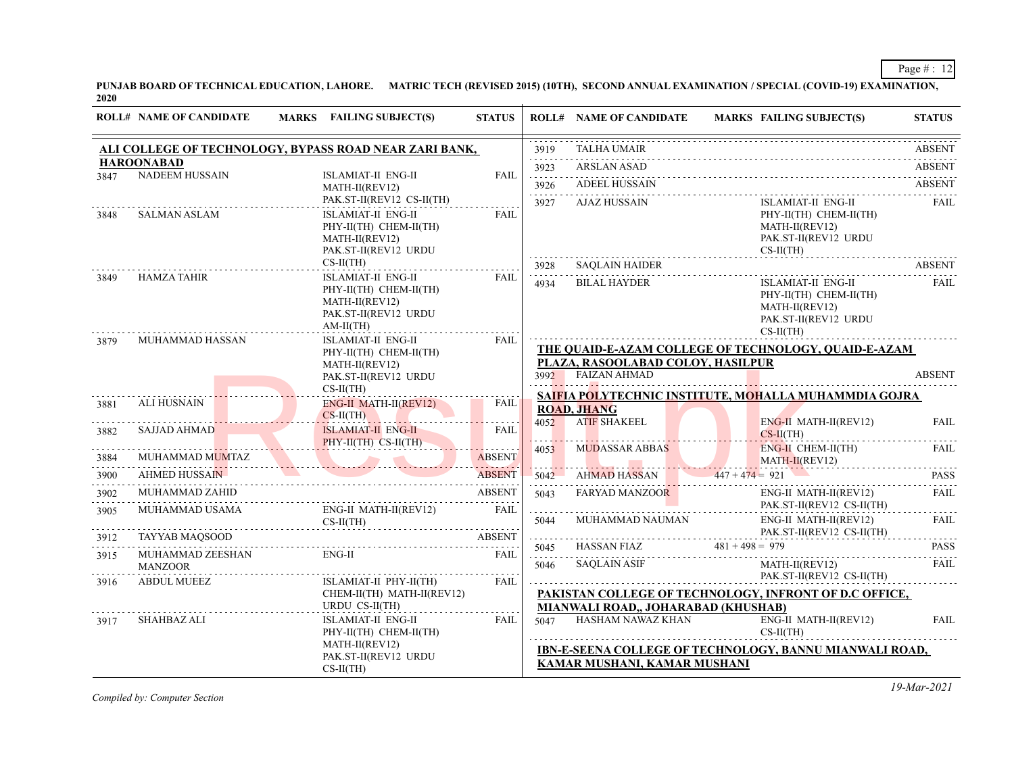**PUNJAB BOARD OF TECHNICAL EDUCATION, LAHORE. MATRIC TECH (REVISED 2015) (10TH), SECOND ANNUAL EXAMINATION / SPECIAL (COVID-19) EXAMINATION, 2020**

|      | <b>ROLL# NAME OF CANDIDATE</b> | <b>MARKS</b> FAILING SUBJECT(S)                                                                       | <b>STATUS</b> |           | <b>ROLL# NAME OF CANDIDATE</b>      | <b>MARKS FAILING SUBJECT(S)</b>                                                                                                                                                                      | <b>STATUS</b>    |
|------|--------------------------------|-------------------------------------------------------------------------------------------------------|---------------|-----------|-------------------------------------|------------------------------------------------------------------------------------------------------------------------------------------------------------------------------------------------------|------------------|
|      |                                | ALI COLLEGE OF TECHNOLOGY, BYPASS ROAD NEAR ZARI BANK,                                                |               | 3919      | <b>TALHA UMAIR</b>                  |                                                                                                                                                                                                      | <b>ABSENT</b>    |
|      | <b>HAROONABAD</b>              |                                                                                                       |               | .<br>3923 | <b>ARSLAN ASAD</b>                  |                                                                                                                                                                                                      | <b>ABSENT</b>    |
| 3847 | <b>NADEEM HUSSAIN</b>          | <b>ISLAMIAT-II ENG-II</b><br>MATH-II(REV12)                                                           | <b>FAIL</b>   | 3926      | <b>ADEEL HUSSAIN</b>                |                                                                                                                                                                                                      | <b>ABSENT</b>    |
|      |                                | PAK.ST-II(REV12 CS-II(TH)                                                                             |               | .<br>3927 | <b>AJAZ HUSSAIN</b>                 | ISLAMIAT-II ENG-II                                                                                                                                                                                   | <b>FAIL</b>      |
| 3848 | SALMAN ASLAM                   | <b>ISLAMIAT-II ENG-II</b><br>PHY-II(TH) CHEM-II(TH)<br>MATH-II(REV12)<br>PAK.ST-II(REV12 URDU         | <b>FAIL</b>   |           |                                     | PHY-II(TH) CHEM-II(TH)<br>MATH-II(REV12)<br>PAK.ST-II(REV12 URDU<br>$CS-II(TH)$                                                                                                                      |                  |
|      |                                | $CS-II(TH)$                                                                                           |               | 3928      |                                     |                                                                                                                                                                                                      | <b>ABSENT</b>    |
| 3849 | HAMZA TAHIR                    | ISLAMIAT-II ENG-II<br>PHY-II(TH) CHEM-II(TH)<br>MATH-II(REV12)<br>PAK.ST-II(REV12 URDU<br>$AM-II(TH)$ | <b>FAIL</b>   | 4934      | <b>BILAL HAYDER</b>                 | ISLAMIAT-II ENG-II<br>PHY-II(TH) CHEM-II(TH)<br>MATH-II(REV12)<br>PAK.ST-II(REV12 URDU<br>$CS-II(TH)$                                                                                                | FAIL             |
| 3879 | MUHAMMAD HASSAN                | <b>ISLAMIAT-II ENG-II</b><br>PHY-II(TH) CHEM-II(TH)                                                   | <b>FAIL</b>   |           |                                     | THE QUAID-E-AZAM COLLEGE OF TECHNOLOGY, QUAID-E-AZAM                                                                                                                                                 |                  |
|      |                                | MATH-II(REV12)                                                                                        |               |           | PLAZA, RASOOLABAD COLOY, HASILPUR   |                                                                                                                                                                                                      |                  |
|      |                                | PAK.ST-II(REV12 URDU                                                                                  |               | 3992      | <b>FAIZAN AHMAD</b>                 | the contract of the contract of the contract of the contract of the contract of the contract of the contract of                                                                                      | <b>ABSENT</b>    |
|      |                                | $CS-II(TH)$                                                                                           |               |           |                                     | SAIFIA POLYTECHNIC INSTITUTE, MOHALLA MUHAMMDIA GOJRA                                                                                                                                                |                  |
| 3881 | ALI HUSNAIN                    | <b>ENG-II MATH-II(REV12)</b><br>$CS-II(TH)$                                                           | FAIL          |           | <b>ROAD, JHANG</b>                  |                                                                                                                                                                                                      |                  |
| 3882 | SAJJAD AHMAD                   | <b>ISLAMIAT-II ENG-II</b>                                                                             | <b>FAIL</b>   | 4052      | ATIF SHAKEEL                        | $ENG-II$ MATH-II(REV12)<br>$CS-II(TH)$<br>.                                                                                                                                                          | <b>FAIL</b>      |
|      |                                | PHY-II(TH) CS-II(TH)                                                                                  |               | 4053      | <b>MUDASSAR ABBAS</b>               | ENG-II CHEM-II(TH)                                                                                                                                                                                   | <b>FAIL</b>      |
| 3884 |                                | MUHAMMAD MUMTAZ ABSENT                                                                                |               |           | MATH-<br>AHMAD HASSAN 447+474 = 921 | $MATH-II(REV12)$                                                                                                                                                                                     |                  |
| 3900 | <b>AHMED HUSSAIN</b>           |                                                                                                       | <b>ABSENT</b> | 5042<br>. |                                     |                                                                                                                                                                                                      | <b>PASS</b>      |
| 3902 | MUHAMMAD ZAHID                 |                                                                                                       | <b>ABSENT</b> | 5043      | <b>FARYAD MANZOOR</b>               | ENG-II MATH-II(REV12)                                                                                                                                                                                | <b>FAIL</b>      |
| 3905 | MUHAMMAD USAMA                 | $ENG-II$ MATH-II(REV12)<br>$CS-II(TH)$                                                                | FAIL          | .         |                                     | PAK.ST-II(REV12 CS-II(TH)                                                                                                                                                                            | <b>FAIL</b>      |
| 3912 |                                |                                                                                                       | <b>ABSENT</b> |           |                                     | $\begin{tabular}{c c c c} \hline 5044 & MUHAMMAD NAUMAN & ENG-II MATH-II(REV12) \\ \hline \multicolumn{2}{c}{PAKST-II(REV12 CS-II(TH) \\ 5045 & HASANFIAZ & 481 + 498 = 979 \\ \hline \end{tabular}$ |                  |
| 3915 | MUHAMMAD ZEESHAN               | TAYYAB MAQSOOD ABSENT<br>ENG-II                                                                       | <b>FAIL</b>   |           |                                     |                                                                                                                                                                                                      | <b>PASS</b><br>. |
|      | <b>MANZOOR</b>                 |                                                                                                       |               | 5046      | <b>SAQLAIN ASIF</b>                 | MATH-II(REV12)                                                                                                                                                                                       | <b>FAIL</b>      |
| 3916 | <b>ABDUL MUEEZ</b>             | ISLAMIAT-II PHY-II(TH)                                                                                | FAIL          |           |                                     | PAK.ST-II(REV12 CS-II(TH)                                                                                                                                                                            |                  |
|      |                                | CHEM-II(TH) MATH-II(REV12)<br>URDU CS-II(TH)                                                          |               |           | MIANWALI ROAD,, JOHARABAD (KHUSHAB) | PAKISTAN COLLEGE OF TECHNOLOGY, INFRONT OF D.C OFFICE,                                                                                                                                               |                  |
| 3917 | SHAHBAZ ALI                    | ISLAMIAT-II ENG-II                                                                                    | <b>FAIL</b>   | 5047      | HASHAM NAWAZ KHAN                   | ENG-II MATH-II(REV12)                                                                                                                                                                                | <b>FAIL</b>      |
|      |                                | PHY-II(TH) CHEM-II(TH)<br>MATH-II(REV12)                                                              |               |           |                                     | $CS-II(TH)$                                                                                                                                                                                          |                  |
|      |                                | PAK.ST-II(REV12 URDU                                                                                  |               |           | KAMAR MUSHANI, KAMAR MUSHANI        | <b>IBN-E-SEENA COLLEGE OF TECHNOLOGY, BANNU MIANWALI ROAD,</b>                                                                                                                                       |                  |
|      |                                | $CS-II(TH)$                                                                                           |               |           |                                     |                                                                                                                                                                                                      |                  |

*Compiled by: Computer Section*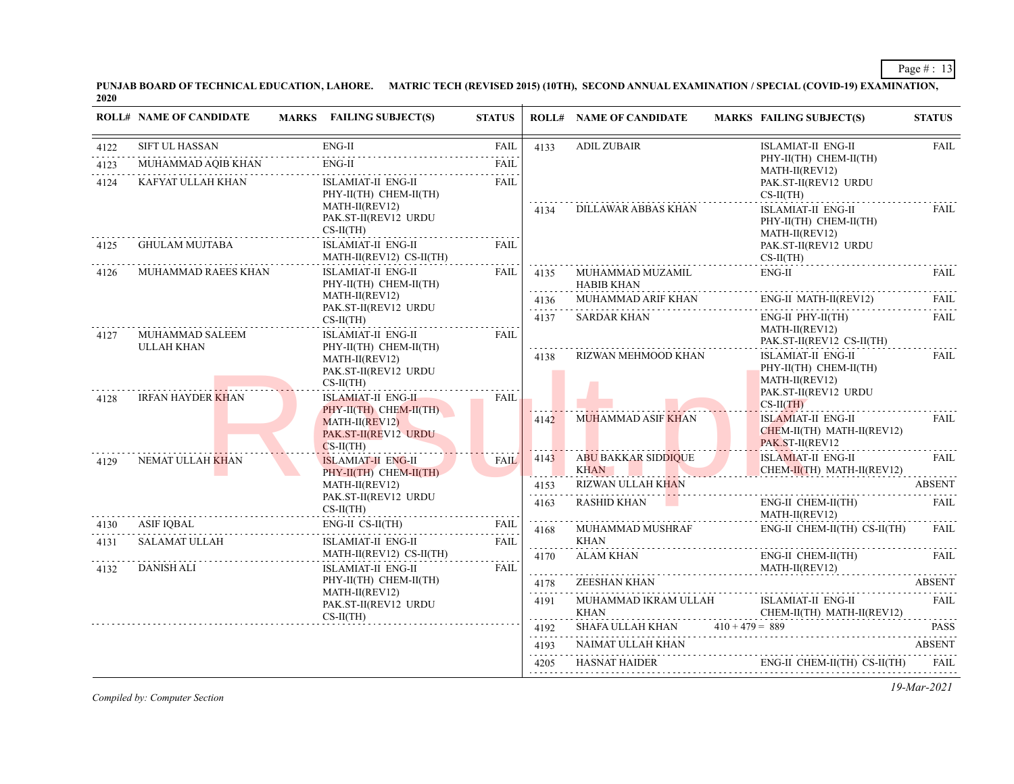**PUNJAB BOARD OF TECHNICAL EDUCATION, LAHORE. MATRIC TECH (REVISED 2015) (10TH), SECOND ANNUAL EXAMINATION / SPECIAL (COVID-19) EXAMINATION, 2020**

|              | <b>ROLL# NAME OF CANDIDATE</b>     | MARKS FAILING SUBJECT(S)                                                        | <b>STATUS</b>              |                        | <b>ROLL# NAME OF CANDIDATE</b>                                           | <b>MARKS FAILING SUBJECT(S)</b>                                                               | <b>STATUS</b>                          |
|--------------|------------------------------------|---------------------------------------------------------------------------------|----------------------------|------------------------|--------------------------------------------------------------------------|-----------------------------------------------------------------------------------------------|----------------------------------------|
| 4122         | <b>SIFT UL HASSAN</b>              | $ENG-II$                                                                        | <b>FAIL</b>                | 4133                   | <b>ADIL ZUBAIR</b>                                                       | <b>ISLAMIAT-II ENG-II</b>                                                                     | <b>FAIL</b>                            |
| 4123         | MUHAMMAD AQIB KHAN                 | $ENG-II$<br>.                                                                   | <b>FAIL</b><br>.           |                        |                                                                          | PHY-II(TH) CHEM-II(TH)<br>MATH-II(REV12)                                                      |                                        |
| 4124         | KAFYAT ULLAH KHAN                  | <b>ISLAMIAT-II ENG-II</b><br>PHY-II(TH) CHEM-II(TH)                             | <b>FAIL</b><br><b>FAIL</b> |                        |                                                                          | PAK.ST-II(REV12 URDU<br>$CS-II(TH)$                                                           |                                        |
|              |                                    | MATH-II(REV12)<br>PAK.ST-II(REV12 URDU<br>$CS-II(TH)$                           |                            | 4134                   | DILLAWAR ABBAS KHAN                                                      | ISLAMIAT-II ENG-II<br>PHY-II(TH) CHEM-II(TH)<br>MATH-II(REV12)                                | FAIL                                   |
| 4125         | <b>GHULAM MUJTABA</b>              | ISLAMIAT-II ENG-II<br>MATH-II(REV12) CS-II(TH)                                  |                            |                        |                                                                          | PAK.ST-II(REV12 URDU<br>$CS-II(TH)$                                                           |                                        |
| 4126         | MUHAMMAD RAEES KHAN                | <b>ISLAMIAT-II ENG-II</b><br>PHY-II(TH) CHEM-II(TH)                             | FAIL                       | 4135                   | MUHAMMAD MUZAMIL<br><b>HABIB KHAN</b>                                    | $ENG-II$                                                                                      | <b>FAIL</b>                            |
|              |                                    | MATH-II(REV12)<br>PAK.ST-II(REV12 URDU                                          |                            | .                      | 4136 MUHAMMAD ARIF KHAN                                                  | $ENG-II$ MATH-II(REV12)                                                                       | FAII.<br>$\alpha$ is a set of $\alpha$ |
| 4127         | MUHAMMAD SALEEM                    | $CS-II(TH)$<br><b>ISLAMIAT-II ENG-II</b>                                        | <b>FAIL</b>                | 4137                   | <b>SARDAR KHAN</b>                                                       | $ENG-II$ $PHY-II(TH)$<br>MATH-II(REV12)<br>PAK.ST-II(REV12 CS-II(TH)                          | FAIL                                   |
|              | <b>ULLAH KHAN</b>                  | PHY-II(TH) CHEM-II(TH)<br>MATH-II(REV12)<br>PAK.ST-II(REV12 URDU<br>$CS-II(TH)$ |                            | 4138                   | RIZWAN MEHMOOD KHAN                                                      | <b>ISLAMIAT-II ENG-II</b><br>PHY-II(TH) CHEM-II(TH)<br>MATH-II(REV12)<br>PAK.ST-II(REV12 URDU | FAIL                                   |
| 4128         | <b>IRFAN HAYDER KHAN</b>           | <b>ISLAMIAT-II ENG-II</b><br>PHY-II(TH) CHEM-II(TH)                             | <b>FAIL</b>                |                        |                                                                          | $CS-II(TH)$                                                                                   |                                        |
|              |                                    | $MATH-II(REV12)$<br>PAK.ST-II(REV12 URDU<br>$CS-II(TH)$                         |                            | 4142                   | <b>MUHAMMAD ASIF KHAN</b>                                                | <b>ISLAMIAT-II ENG-II</b><br>$CHEM-II(TH)$ MATH-II(REV12)<br>PAK.ST-II(REV12                  | FAIL                                   |
| 4129         | NEMAT ULLAH KHAN                   | <b>ISLAMIAT-II ENG-II</b><br>PHY-II(TH) CHEM-II(TH)                             | FAIL                       | 4143<br>. <b>. .</b> . | <b>ABU BAKKAR SIDDIQUE</b><br><b>KHAN</b><br><u> Alban Maria Alban A</u> | <b>ISLAMIAT-II ENG-II</b><br>CHEM-II(TH) MATH-II(REV12)                                       | <b>FAIL</b>                            |
|              |                                    | MATH-II(REV12)                                                                  | FAIL<br>.                  | 4153<br>.              | RIZWAN ULLAH KHAN                                                        |                                                                                               | ABSENT                                 |
|              |                                    | PAK.ST-II(REV12 URDU<br>$CS-II(TH)$                                             |                            | 4163<br>.              | <b>RASHID KHAN</b>                                                       | ENG-II CHEM-II(TH)<br>MATH-II(REV12)                                                          | FAIL                                   |
| 4130<br>4131 | <b>ASIF IQBAL</b><br>SALAMAT ULLAH | ENG-II CS-II(TH)<br><b>ISLAMIAT-II ENG-II</b>                                   |                            | <b>FAIL</b>            | 4168                                                                     | MUHAMMAD MUSHRAF<br><b>KHAN</b>                                                               | ENG-II CHEM-II(TH) CS-II(TH)           |
| 4132         | <b>DANISH ALI</b>                  | MATH-II(REV12) CS-II(TH)<br><b>ISLAMIAT-II ENG-II</b>                           | FAIL                       | .<br>4170              | ALAM KHAN                                                                | ENG-II CHEM-II(TH)<br>MATH-II(REV12)                                                          | FAIL                                   |
|              |                                    | PHY-II(TH) CHEM-II(TH)<br>MATH-II(REV12)<br>PAK.ST-II(REV12 URDU<br>$CS-II(TH)$ |                            | .<br>4178              | ZEESHAN KHAN                                                             |                                                                                               | <b>ABSENT</b>                          |
|              |                                    |                                                                                 |                            | .<br>4191<br>.         | MUHAMMAD IKRAM ULLAH<br><b>KHAN</b>                                      | ISLAMIAT-II ENG-II<br>CHEM-II(TH) MATH-II(REV12)                                              | FAIL                                   |
|              |                                    |                                                                                 |                            | 4192                   | SHAFA ULLAH KHAN $410 + 479 = 889$ PASS                                  |                                                                                               |                                        |
|              |                                    |                                                                                 |                            | 4193<br>.              | NAIMAT ULLAH KHAN ABSENT                                                 |                                                                                               |                                        |
|              |                                    |                                                                                 |                            |                        | 4205 HASNAT HAIDER ENG-II CHEM-II(TH) CS-II(TH) FAIL                     |                                                                                               |                                        |

*Compiled by: Computer Section*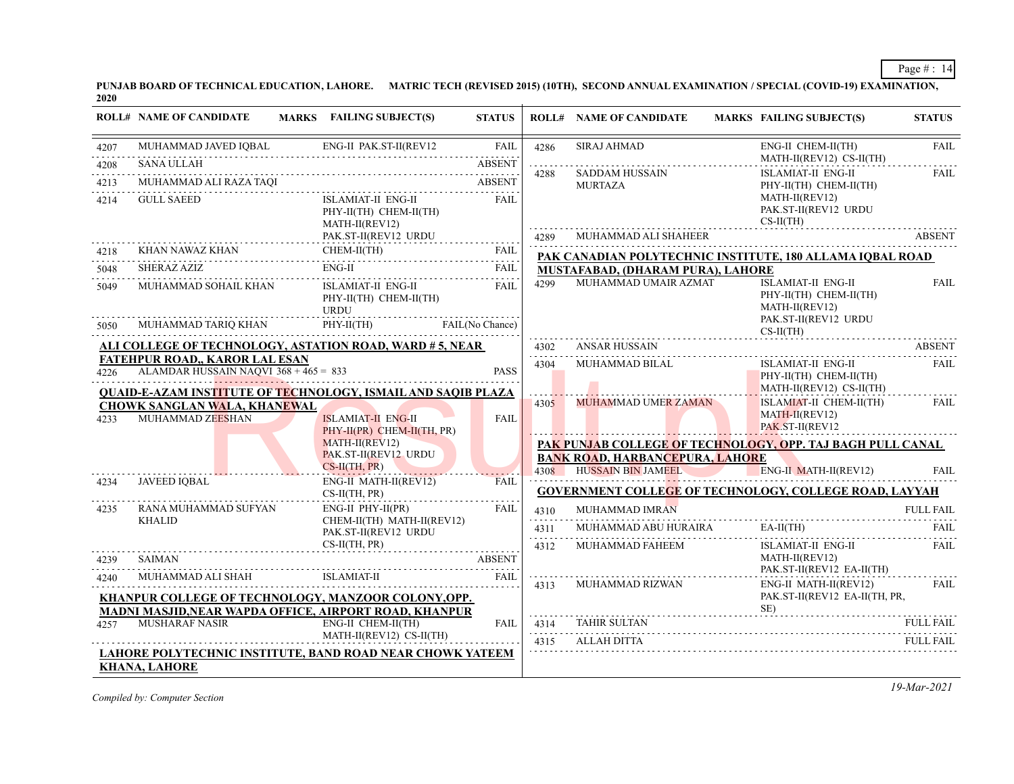**PUNJAB BOARD OF TECHNICAL EDUCATION, LAHORE. MATRIC TECH (REVISED 2015) (10TH), SECOND ANNUAL EXAMINATION / SPECIAL (COVID-19) EXAMINATION, 2020**

|              | <b>ROLL# NAME OF CANDIDATE</b>                          | <b>MARKS</b> FAILING SUBJECT(S)                                                                                                | <b>STATUS</b>                     |           | <b>ROLL# NAME OF CANDIDATE</b>         | <b>MARKS FAILING SUBJECT(S)</b>                                                               | <b>STATUS</b>                                              |  |  |
|--------------|---------------------------------------------------------|--------------------------------------------------------------------------------------------------------------------------------|-----------------------------------|-----------|----------------------------------------|-----------------------------------------------------------------------------------------------|------------------------------------------------------------|--|--|
| 4207         | MUHAMMAD JAVED IQBAL                                    |                                                                                                                                | <b>FAIL</b>                       | 4286      | <b>SIRAJ AHMAD</b>                     | ENG-II CHEM-II(TH)<br>MATH-II(REV12) CS-II(TH)                                                | <b>FAIL</b>                                                |  |  |
| 4208         | <b>SANA ULLAH</b>                                       |                                                                                                                                | <b>ABSENT</b>                     | 4288      | <b>SADDAM HUSSAIN</b>                  | <b>ISLAMIAT-II ENG-II</b>                                                                     | <b>FAIL</b>                                                |  |  |
| 4213         | MUHAMMAD ALI RAZA TAQI                                  |                                                                                                                                | <b>ABSENT</b>                     |           | <b>MURTAZA</b>                         | PHY-II(TH) CHEM-II(TH)                                                                        |                                                            |  |  |
| 4214         | <b>GULL SAEED</b>                                       | <b>ISLAMIAT-II ENG-II</b><br>PHY-II(TH) CHEM-II(TH)<br>MATH-II(REV12)                                                          | <b>FAIL</b>                       |           |                                        | MATH-II(REV12)<br>PAK.ST-II(REV12 URDU<br>$CS-II(TH)$                                         |                                                            |  |  |
|              |                                                         | PAK.ST-II(REV12 URDU                                                                                                           | .                                 | 4289      | MUHAMMAD ALI SHAHEER                   |                                                                                               | <b>ABSENT</b>                                              |  |  |
| 4218         | KHAN NAWAZ KHAN                                         | CHEM-II(TH)<br>CHEM-II(TH) FAIL                                                                                                | FAIL                              |           |                                        | PAK CANADIAN POLYTECHNIC INSTITUTE, 180 ALLAMA IQBAL ROAD                                     |                                                            |  |  |
| 5048         | <b>SHERAZ AZIZ</b>                                      | $ENG-II$                                                                                                                       | <b>FAIL</b>                       |           | MUSTAFABAD, (DHARAM PURA), LAHORE      |                                                                                               |                                                            |  |  |
| 5049<br>5050 | MUHAMMAD SOHAIL KHAN<br>MUHAMMAD TARIQ KHAN             | ISLAMIAT-II ENG-II<br>PHY-II(TH) CHEM-II(TH)<br>URDU<br>$PHY-II(TH)$                                                           | <b>FAIL</b><br>FAIL(No Chance)    | 4299      | MUHAMMAD UMAIR AZMAT                   | <b>ISLAMIAT-II ENG-II</b><br>PHY-II(TH) CHEM-II(TH)<br>MATH-II(REV12)<br>PAK.ST-II(REV12 URDU | <b>FAIL</b>                                                |  |  |
|              |                                                         | <b>ALI COLLEGE OF TECHNOLOGY, ASTATION ROAD, WARD # 5, NEAR</b>                                                                |                                   |           | ANSAR HUSSAIN                          | $CS-II(TH)$                                                                                   | <b>ABSENT</b>                                              |  |  |
|              | <b>FATEHPUR ROAD,, KAROR LAL ESAN</b>                   |                                                                                                                                |                                   | 4302<br>. |                                        |                                                                                               |                                                            |  |  |
| 4226         | ALAMDAR HUSSAIN NAQVI 368 + 465 = 833                   |                                                                                                                                | <b>PASS</b>                       | 4304      | MUHAMMAD BILAL                         | ISLAMIAT-II ENG-II<br>PHY-II(TH) CHEM-II(TH)<br>MATH-II(REV12) CS-II(TH)                      | FAIL                                                       |  |  |
| 4233         | <b>CHOWK SANGLAN WALA, KHANEWAL</b><br>MUHAMMAD ZEESHAN | <b>OUAID-E-AZAM INSTITUTE OF TECHNOLOGY, ISMAIL AND SAOIB PLAZA</b><br><b>ISLAMIAT-II ENG-II</b><br>PHY-II(PR) CHEM-II(TH, PR) | <b>FAIL</b>                       | 4305      | <b>MUHAMMAD UMER ZAMAN</b>             | ISLAMIAT-II CHEM-II(TH)<br>$MATH-II(REV12)$<br>PAK.ST-II(REV12                                | <b>FAIL</b>                                                |  |  |
|              |                                                         | $MATH-II(REV12)$                                                                                                               |                                   |           |                                        |                                                                                               | PAK PUNJAB COLLEGE OF TECHNOLOGY, OPP. TAJ BAGH PULL CANAL |  |  |
|              |                                                         | PAK.ST-II(REV12 URDU<br>$CS-H(TH, PR)$                                                                                         |                                   |           | <b>BANK ROAD, HARBANCEPURA, LAHORE</b> |                                                                                               |                                                            |  |  |
| 4234         | <b>JAVEED IOBAL</b>                                     | ENG-II MATH-II(REV12)                                                                                                          | . <b>.</b> .<br><b>FAIL</b>       | 4308      | <b>HUSSAIN BIN JAMEEL</b>              | ENG-II MATH-II(REV12)                                                                         | FAIL                                                       |  |  |
|              |                                                         | $CS-II(TH, PR)$                                                                                                                |                                   |           |                                        | GOVERNMENT COLLEGE OF TECHNOLOGY, COLLEGE ROAD, LAYYAH                                        |                                                            |  |  |
| 4235         | RANA MUHAMMAD SUFYAN                                    | $ENG-II$ $PHY-II(PR)$                                                                                                          | <b>FAIL</b>                       | 4310      | MUHAMMAD IMRAN                         |                                                                                               | <b>FULL FAIL</b>                                           |  |  |
|              | <b>KHALID</b>                                           | CHEM-II(TH) MATH-II(REV12)<br>PAK.ST-II(REV12 URDU                                                                             |                                   | 4311      | MUHAMMAD ABU HURAIRA                   | $EA-II(TH)$                                                                                   | <b>FAIL</b><br>$\alpha$ is a second set of $\alpha$        |  |  |
|              |                                                         | $CS-II(TH, PR)$                                                                                                                |                                   | .<br>4312 | MUHAMMAD FAHEEM                        | ISLAMIAT-II ENG-II                                                                            | <b>FAIL</b>                                                |  |  |
| 4239         | <b>SAIMAN</b>                                           |                                                                                                                                | <b>ABSENT</b>                     |           |                                        | MATH-II(REV12)<br>PAK.ST-II(REV12 EA-II(TH)                                                   |                                                            |  |  |
| 4240         | MUHAMMAD ALI SHAH                                       | <b>ISLAMIAT-II</b>                                                                                                             | <b>FAIL</b><br>and a state of the | 4313      | MUHAMMAD RIZWAN                        | ENG-II MATH-II(REV12)                                                                         | .<br>FAIL                                                  |  |  |
|              |                                                         | KHANPUR COLLEGE OF TECHNOLOGY, MANZOOR COLONY, OPP.<br>MADNI MASJID, NEAR WAPDA OFFICE, AIRPORT ROAD, KHANPUR                  |                                   |           |                                        | PAK.ST-II(REV12 EA-II(TH, PR,                                                                 |                                                            |  |  |
| 4257         | <b>MUSHARAF NASIR</b>                                   | ENG-II CHEM-II(TH)                                                                                                             | FAIL                              | 4314      | <b>TAHIR SULTAN</b>                    |                                                                                               | <b>FULL FAIL</b>                                           |  |  |
|              |                                                         | MATH-II(REV12) CS-II(TH)                                                                                                       |                                   | 4315      | ALLAH DITTA                            |                                                                                               | <b>FULL FAIL</b>                                           |  |  |
|              |                                                         | LAHORE POLYTECHNIC INSTITUTE, BAND ROAD NEAR CHOWK YATEEM                                                                      |                                   |           |                                        |                                                                                               |                                                            |  |  |
|              | <b>KHANA, LAHORE</b>                                    |                                                                                                                                |                                   |           |                                        |                                                                                               |                                                            |  |  |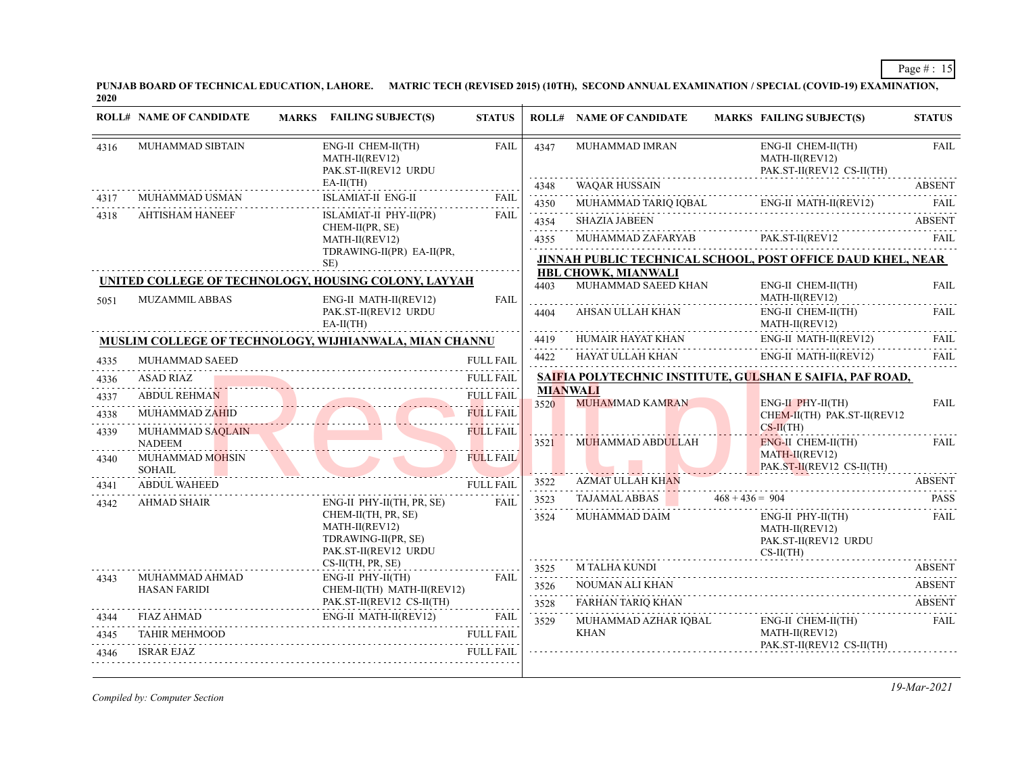**PUNJAB BOARD OF TECHNICAL EDUCATION, LAHORE. MATRIC TECH (REVISED 2015) (10TH), SECOND ANNUAL EXAMINATION / SPECIAL (COVID-19) EXAMINATION, 2020**

|      | <b>ROLL# NAME OF CANDIDATE</b>            | MARKS FAILING SUBJECT(S)                                                                                                                                                                                                       | <b>STATUS</b>                        |                         | <b>ROLL# NAME OF CANDIDATE</b>             |                   | <b>MARKS FAILING SUBJECT(S)</b>                                                | <b>STATUS</b>        |
|------|-------------------------------------------|--------------------------------------------------------------------------------------------------------------------------------------------------------------------------------------------------------------------------------|--------------------------------------|-------------------------|--------------------------------------------|-------------------|--------------------------------------------------------------------------------|----------------------|
| 4316 | MUHAMMAD SIBTAIN                          | ENG-II CHEM-II(TH)<br>MATH-II(REV12)<br>PAK.ST-II(REV12 URDU                                                                                                                                                                   | FAIL                                 | 4347                    | MUHAMMAD IMRAN                             |                   | ENG-II CHEM-II(TH)<br>MATH-II(REV12)<br>PAK.ST-II(REV12 CS-II(TH)              | <b>FAIL</b>          |
|      |                                           | $EA-II(TH)$                                                                                                                                                                                                                    |                                      | 4348                    | WAQAR HUSSAIN                              |                   |                                                                                | <b>ABSENT</b>        |
| 4317 | MUHAMMAD USMAN                            | ISLAMIAT-II ENG-II                                                                                                                                                                                                             | <b>FAIL</b>                          | .<br>4350               |                                            |                   | MUHAMMAD TARIQ IQBAL ENG-II MATH-II(REV12)                                     | FAIL                 |
| 4318 | <b>AHTISHAM HANEEF</b>                    | ISLAMIAT-II PHY-II(PR)<br>CHEM-II(PR, SE)                                                                                                                                                                                      | <b>FAIL</b>                          | .<br>4354               | <b>SHAZIA JABEEN</b>                       |                   |                                                                                | <b>ABSENT</b>        |
|      |                                           | MATH-II(REV12)                                                                                                                                                                                                                 |                                      | .<br>4355               | MUHAMMAD ZAFARYAB                          |                   | PAK.ST-II(REV12                                                                | FAII.                |
|      |                                           | TDRAWING-II(PR) EA-II(PR,<br>SE)                                                                                                                                                                                               |                                      |                         |                                            |                   | <b>JINNAH PUBLIC TECHNICAL SCHOOL, POST OFFICE DAUD KHEL, NEAR</b>             |                      |
| 5051 | <b>MUZAMMIL ABBAS</b>                     | UNITED COLLEGE OF TECHNOLOGY, HOUSING COLONY, LAYYAH<br>ENG-II MATH-II(REV12)                                                                                                                                                  | FAIL                                 | 4403                    | HBL CHOWK, MIANWALI<br>MUHAMMAD SAEED KHAN |                   | ENG-II CHEM-II(TH)<br>MATH-II(REV12)                                           | <b>FAIL</b>          |
|      |                                           | PAK.ST-II(REV12 URDU<br>$EA-II(TH)$                                                                                                                                                                                            |                                      | 4404<br>.               | AHSAN ULLAH KHAN                           |                   | ENG-II CHEM-II(TH)<br>MATH-II(REV12)                                           | FAIL                 |
|      |                                           | MUSLIM COLLEGE OF TECHNOLOGY, WIJHIANWALA, MIAN CHANNU                                                                                                                                                                         |                                      | 4419<br>.               | HUMAIR HAYAT KHAN                          |                   | ENG-II MATH-II(REV12)                                                          | FAII.<br>and a state |
| 4335 | MUHAMMAD SAEED                            |                                                                                                                                                                                                                                | <b>FULL FAIL</b>                     | 4422                    | HAYAT ULLAH KHAN                           |                   | ENG-II MATH-II(REV12)                                                          | FAIL<br>.            |
| 4336 | <b>ASAD RIAZ</b>                          |                                                                                                                                                                                                                                | <b>FULL FAIL</b>                     |                         |                                            |                   | SAIFIA POLYTECHNIC INSTITUTE, GULSHAN E SAIFIA, PAF ROAD,                      |                      |
| 4337 | <b>ABDUL REHMAN</b>                       | )UL REHMAN FULL FAIL                                                                                                                                                                                                           | <b>FULL FAIL</b>                     | <b>MIANWALI</b><br>3520 | <b>MUHAMMAD KAMRAN</b>                     |                   | $ENG-H$ $PHY-H(TH)$                                                            | <b>FAIL</b>          |
| 4338 | <b>MUHAMMAD ZAHID</b><br>MUHAMMAD SAQLAIN | D and the second contract of the second second contract of the second second second second second second second second second second second second second second second second second second second second second second secon | <b>FULL FAIL</b><br><b>FULL FAIL</b> |                         |                                            |                   | CHEM-II(TH) PAK.ST-II(REV12<br>$CS-H(TH)$                                      |                      |
| 4339 | <b>NADEEM</b>                             |                                                                                                                                                                                                                                |                                      | 3521                    | MUHAMMAD ABDULLAH                          |                   | ENG-II CHEM-II(TH)                                                             | <b>FAIL</b>          |
| 4340 | MUHAMMAD MOHSIN<br><b>SOHAIL</b>          |                                                                                                                                                                                                                                | <b>FULL FAIL</b>                     |                         | . <i>. .</i>                               |                   | MATH-II(REV12)<br>PAK.ST-II(REV12 CS-II(TH)                                    |                      |
| 4341 | <b>ABDUL WAHEED</b>                       |                                                                                                                                                                                                                                | <b>FULL FAIL</b>                     | 3522<br>.               | <b>AZMAT ULLAH KHAN</b>                    |                   |                                                                                | <b>ABSENT</b>        |
| 4342 | <b>AHMAD SHAIR</b>                        | ENG-II PHY-II(TH, PR, SE)                                                                                                                                                                                                      | FAIL                                 | 3523<br>د د د د د       | <b>TAJAMAL ABBAS</b>                       | $468 + 436 = 904$ |                                                                                | <b>PASS</b>          |
|      |                                           | CHEM-II(TH, PR, SE)<br>MATH-II(REV12)<br>TDRAWING-II(PR, SE)<br>PAK.ST-II(REV12 URDU                                                                                                                                           |                                      | 3524                    | MUHAMMAD DAIM                              |                   | $ENG-II$ $PHY-II(TH)$<br>MATH-II(REV12)<br>PAK.ST-II(REV12 URDU<br>$CS-II(TH)$ | <b>FAIL</b>          |
|      |                                           | $CS-II(TH, PR, SE)$                                                                                                                                                                                                            |                                      | 3525                    | M TALHA KUNDI                              |                   | $\sum$                                                                         | <b>ABSENT</b>        |
| 4343 | MUHAMMAD AHMAD<br><b>HASAN FARIDI</b>     | ENG-II PHY-II(TH)<br>CHEM-II(TH) MATH-II(REV12)                                                                                                                                                                                | <b>FAIL</b>                          | 3526<br>.               | NOUMAN ALI KHAN                            |                   |                                                                                | <b>ABSENT</b>        |
|      |                                           | PAK.ST-II(REV12 CS-II(TH)                                                                                                                                                                                                      |                                      | 3528<br>.               | FARHAN TARIQ KHAN                          |                   |                                                                                | <b>ABSENT</b>        |
| 4344 | FIAZ AHMAD                                | ENG-II MATH-II(REV12)                                                                                                                                                                                                          | <b>FAIL</b>                          | 3529                    | MUHAMMAD AZHAR IOBAL                       |                   | $ENG-II$ $CHEM-II(TH)$                                                         | FAII.                |
| 4345 | <b>TAHIR MEHMOOD</b>                      |                                                                                                                                                                                                                                | <b>FULL FAIL</b>                     |                         | <b>KHAN</b>                                |                   | MATH-II(REV12)<br>PAK.ST-II(REV12 CS-II(TH)                                    |                      |
| 4346 | <b>ISRAR EJAZ</b>                         |                                                                                                                                                                                                                                | <b>FULL FAIL</b>                     |                         |                                            |                   |                                                                                |                      |

*Compiled by: Computer Section*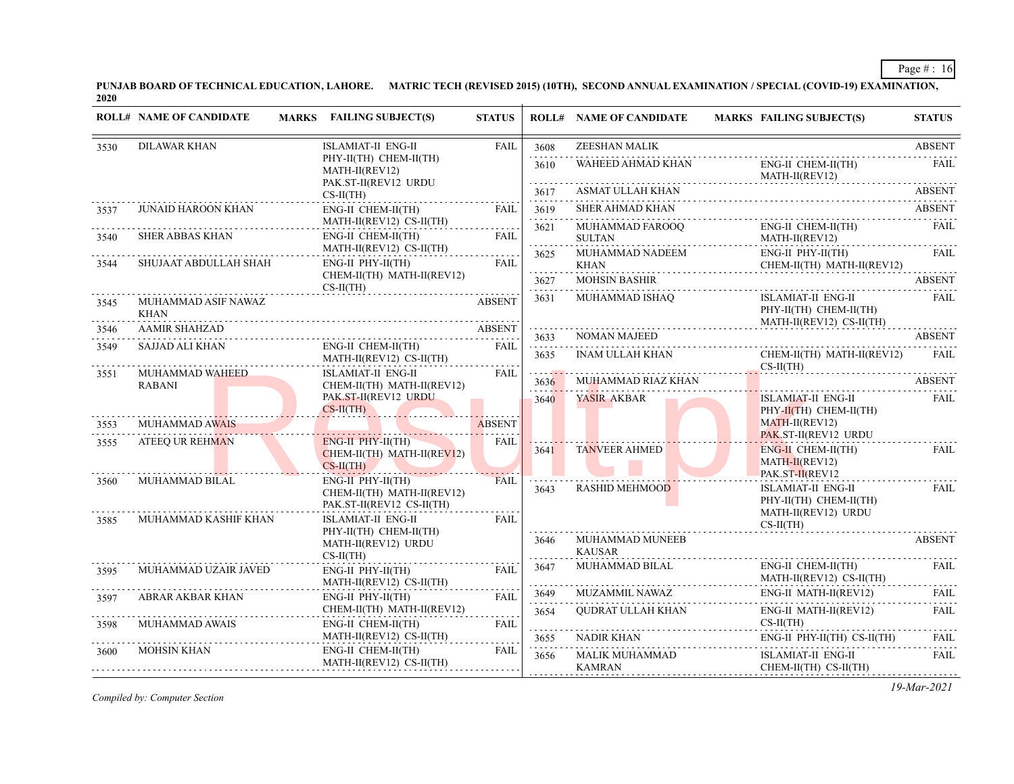**PUNJAB BOARD OF TECHNICAL EDUCATION, LAHORE. MATRIC TECH (REVISED 2015) (10TH), SECOND ANNUAL EXAMINATION / SPECIAL (COVID-19) EXAMINATION, 2020**

|              | <b>ROLL# NAME OF CANDIDATE</b>         | <b>MARKS</b> FAILING SUBJECT(S)                                                                               | <b>STATUS</b>       |                                                                                                                                                                                      | <b>ROLL# NAME OF CANDIDATE</b>                       | <b>MARKS FAILING SUBJECT(S)</b>                                          | <b>STATUS</b>    |               |
|--------------|----------------------------------------|---------------------------------------------------------------------------------------------------------------|---------------------|--------------------------------------------------------------------------------------------------------------------------------------------------------------------------------------|------------------------------------------------------|--------------------------------------------------------------------------|------------------|---------------|
| 3530         | <b>DILAWAR KHAN</b>                    | <b>ISLAMIAT-II ENG-II</b>                                                                                     | FAIL                | 3608<br>.                                                                                                                                                                            | ZEESHAN MALIK                                        |                                                                          | <b>ABSENT</b>    |               |
|              |                                        | PHY-II(TH) CHEM-II(TH)<br>MATH-II(REV12)                                                                      |                     | 3610                                                                                                                                                                                 | WAHEED AHMAD KHAN                                    | ENG-II CHEM-II(TH)<br>MATH-II(REV12)                                     | <b>FAIL</b>      |               |
|              |                                        | PAK.ST-II(REV12 URDU<br>$CS-II(TH)$                                                                           |                     | 3617                                                                                                                                                                                 | ASMAT ULLAH KHAN                                     |                                                                          | <b>ABSENT</b>    |               |
| 3537         | JUNAID HAROON KHAN                     | ENG-II CHEM-II(TH)                                                                                            | FAIL                | 3619                                                                                                                                                                                 | <b>SHER AHMAD KHAN</b>                               |                                                                          | <b>ABSENT</b>    |               |
| 3540         | <b>SHER ABBAS KHAN</b>                 | MATH-II(REV12) CS-II(TH)<br>ENG-II CHEM-II(TH)                                                                | FAIL                | 3621<br>.                                                                                                                                                                            | MUHAMMAD FAROOQ<br><b>SULTAN</b><br>.                | ENG-II CHEM-II(TH)<br>MATH-II(REV12)                                     | FAIL             |               |
| 3544         | SHUJAAT ABDULLAH SHAH                  | MATH-II(REV12) CS-II(TH)<br>$ENG-II$ $PHY-II(TH)$                                                             | FAIL                | 3625                                                                                                                                                                                 | MUHAMMAD NADEEM<br>KHAN                              | $ENG-II$ $PHY-II(TH)$<br>CHEM-II(TH) MATH-II(REV12)                      | <b>FAIL</b><br>. |               |
|              |                                        | CHEM-II(TH) MATH-II(REV12)<br>$CS-II(TH)$                                                                     |                     | 3627                                                                                                                                                                                 | <b>MOHSIN BASHIR</b>                                 |                                                                          | <b>ABSENT</b>    |               |
| 3545         | MUHAMMAD ASIF NAWAZ<br><b>KHAN</b>     |                                                                                                               | <b>ABSENT</b>       | 3631                                                                                                                                                                                 | MUHAMMAD ISHAQ                                       | ISLAMIAT-II ENG-II<br>PHY-II(TH) CHEM-II(TH)<br>MATH-II(REV12) CS-II(TH) | FAIL             |               |
| 3546         | <b>AAMIR SHAHZAD</b>                   |                                                                                                               | <b>ABSENT</b>       | 3633                                                                                                                                                                                 | <b>NOMAN MAJEED</b>                                  |                                                                          | <b>ABSENT</b>    |               |
| 3549         | <b>SAJJAD ALI KHAN</b>                 | ENG-II CHEM-II(TH)<br>MATH-II(REV12) CS-II(TH)                                                                | FAIL                | $\mathcal{L}^{\mathcal{A}}\left( \mathcal{L}^{\mathcal{A}}\left( \mathcal{L}^{\mathcal{A}}\right) \right) =\mathcal{L}^{\mathcal{A}}\left( \mathcal{L}^{\mathcal{A}}\right)$<br>3635 | D<br>---------------------<br><b>INAM ULLAH KHAN</b> | CHEM-II(TH) MATH-II(REV12)<br>$CS-II(TH)$                                | FAIL             |               |
| 3551         | MUHAMMAD WAHEED<br><b>RABANI</b>       | <b>ISLAMIAT-II ENG-II</b><br>CHEM-II(TH) MATH-II(REV12)                                                       | FAIL                | 3636                                                                                                                                                                                 | MUHAMMAD RIAZ KHAN                                   |                                                                          | <b>ABSENT</b>    |               |
|              |                                        | PAK.ST-II(REV12 URDU<br>$CS-H(TH)$                                                                            |                     | 3640                                                                                                                                                                                 | YASIR AKBAR                                          | <b>ISLAMIAT-II ENG-II</b><br>$PHY-II(TH)$ CHEM-II(TH)                    | <b>FAIL</b>      |               |
| 3553         | <b>MUHAMMAD AWAIS</b>                  |                                                                                                               | <b>ABSENT</b>       |                                                                                                                                                                                      |                                                      | MATH-II(REV12)<br>PAK.ST-II(REV12 URDU                                   |                  |               |
| 3555         | <b>ATEEQ UR REHMAN</b>                 | $ENG-H$ $PHY-H(TH)$<br>CHEM-II(TH) MATH-II(REV12)<br>$CS-H(TH)$                                               | <b>FAIL</b>         | 3641                                                                                                                                                                                 | <b>TANVEER AHMED</b>                                 | ENG-II CHEM-II(TH)<br>$MATH-II(REV12)$<br>PAK.ST-II(REV12                | <b>FAIL</b>      |               |
| 3560<br>3585 | MUHAMMAD BILAL<br>MUHAMMAD KASHIF KHAN | $ENG-II$ $PHY-II(TH)$<br>CHEM-II(TH) MATH-II(REV12)<br>PAK.ST-II(REV12 CS-II(TH)<br><b>ISLAMIAT-II ENG-II</b> | <b>FAIL</b><br>FAIL | 3643                                                                                                                                                                                 | <b>RASHID MEHMOOD</b>                                | ISLAMIAT-II ENG-II<br>PHY-II(TH) CHEM-II(TH)<br>MATH-II(REV12) URDU      | <b>FAIL</b>      |               |
|              |                                        | PHY-II(TH) CHEM-II(TH)<br>MATH-II(REV12) URDU<br>$CS-II(TH)$                                                  |                     |                                                                                                                                                                                      | 3646                                                 | MUHAMMAD MUNEEB<br><b>KAUSAR</b>                                         | $CS-II(TH)$      | <b>ABSENT</b> |
| 3595         | MUHAMMAD UZAIR JAVED                   | $ENG-II$ $PHY-II(TH)$<br>MATH-II(REV12) CS-II(TH)                                                             | <b>FAIL</b>         | 3647                                                                                                                                                                                 | MUHAMMAD BILAL                                       | ENG-II CHEM-II(TH)<br>MATH-II(REV12) CS-II(TH)                           | <b>FAIL</b>      |               |
| 3597         | ABRAR AKBAR KHAN                       | $ENG-II$ $PHY-II(TH)$                                                                                         | FAIL                | 3649                                                                                                                                                                                 | MUZAMMIL NAWAZ                                       | ENG-II MATH-II(REV12)                                                    | <b>FAIL</b>      |               |
| 3598         | MUHAMMAD AWAIS                         | CHEM-II(TH) MATH-II(REV12)<br>ENG-II CHEM-II(TH)                                                              | FAIL                | 3654<br>.                                                                                                                                                                            | QUDRAT ULLAH KHAN                                    | ENG-II MATH-II(REV12)<br>$CS-II(TH)$                                     | FAIL             |               |
|              |                                        | MATH-II(REV12) CS-II(TH)                                                                                      |                     | 3655                                                                                                                                                                                 | <b>NADIR KHAN</b>                                    | ENG-II PHY-II(TH) CS-II(TH)                                              | <b>FAIL</b><br>. |               |
| 3600         | <b>MOHSIN KHAN</b>                     | ENG-II CHEM-II(TH)<br>MATH-II(REV12) CS-II(TH)                                                                | FAIL                | .<br>3656                                                                                                                                                                            | MALIK MUHAMMAD<br><b>KAMRAN</b>                      | <b>ISLAMIAT-II ENG-II</b><br>CHEM-II(TH) CS-II(TH)                       | <b>FAIL</b>      |               |

*Compiled by: Computer Section*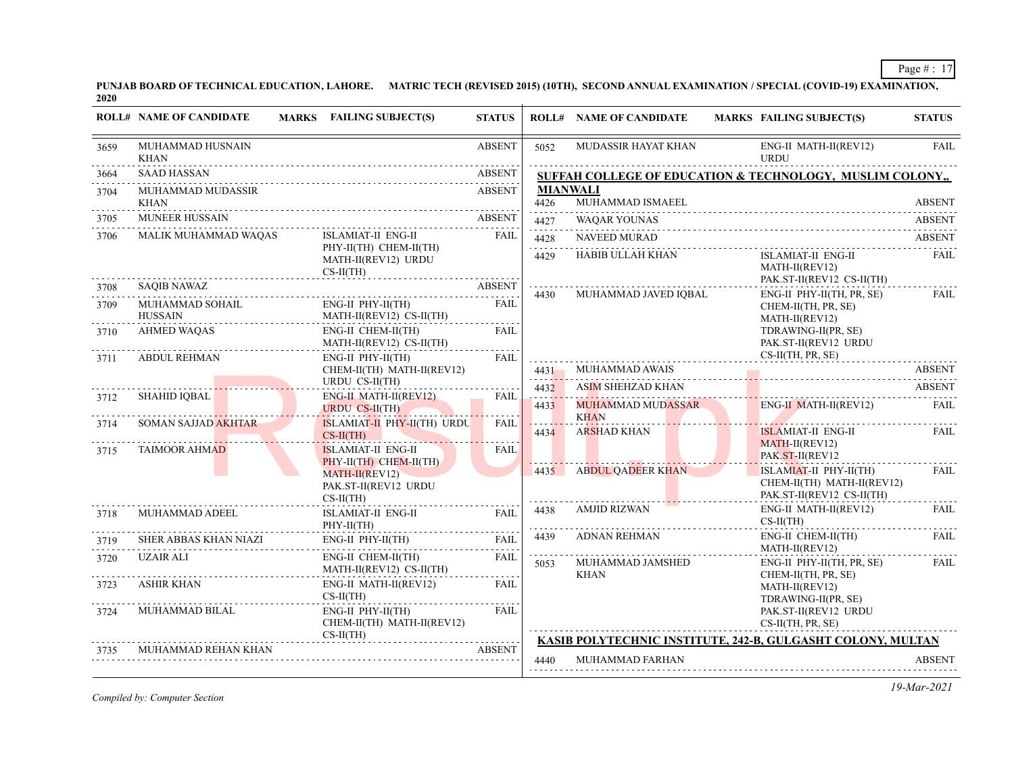**PUNJAB BOARD OF TECHNICAL EDUCATION, LAHORE. MATRIC TECH (REVISED 2015) (10TH), SECOND ANNUAL EXAMINATION / SPECIAL (COVID-19) EXAMINATION, 2020**

|      | <b>ROLL# NAME OF CANDIDATE</b>         | <b>MARKS</b> FAILING SUBJECT(S)                              | <b>STATUS</b>  |                          | <b>ROLL# NAME OF CANDIDATE</b>      | <b>MARKS FAILING SUBJECT(S)</b>                                                   | <b>STATUS</b> |
|------|----------------------------------------|--------------------------------------------------------------|----------------|--------------------------|-------------------------------------|-----------------------------------------------------------------------------------|---------------|
| 3659 | MUHAMMAD HUSNAIN<br><b>KHAN</b>        |                                                              | <b>ABSENT</b>  | 5052                     | MUDASSIR HAYAT KHAN                 | ENG-II MATH-II(REV12)<br><b>URDU</b>                                              | <b>FAIL</b>   |
| 3664 | <b>SAAD HASSAN</b>                     |                                                              | <b>ABSENT</b>  |                          |                                     | <b>SUFFAH COLLEGE OF EDUCATION &amp; TECHNOLOGY, MUSLIM COLONY,,</b>              |               |
| 3704 | MUHAMMAD MUDASSIR<br><b>KHAN</b>       |                                                              | <b>ABSENT</b>  | 4426                     | <b>MIANWALI</b><br>MUHAMMAD ISMAEEL |                                                                                   | ABSENT        |
| 3705 | <b>MUNEER HUSSAIN</b>                  |                                                              | <b>ABSENT</b>  | 4427                     | WAQAR YOUNAS                        |                                                                                   | ABSENT        |
| 3706 | MALIK MUHAMMAD WAQAS                   | ISLAMIAT-II ENG-II                                           | <b>FAIL</b>    | .<br>4428                | NAVEED MURAD                        |                                                                                   | <b>ABSENT</b> |
|      |                                        | PHY-II(TH) CHEM-II(TH)<br>MATH-II(REV12) URDU<br>$CS-II(TH)$ |                | 4429                     | HABIB ULLAH KHAN                    | ISLAMIAT-II ENG-II<br>MATH-II(REV12)<br>PAK.ST-II(REV12 CS-II(TH)                 | FAIL          |
| 3708 | SAQIB NAWAZ                            |                                                              | ABSENT<br>4430 | MUHAMMAD JAVED IOBAL     | ENG-II PHY-II(TH, PR, SE)           | FAIL                                                                              |               |
| 3709 | MUHAMMAD SOHAIL<br><b>HUSSAIN</b><br>. | $ENG-II$ $PHY-II(TH)$<br>MATH-II(REV12) CS-II(TH)            | <b>FAIL</b>    |                          |                                     | CHEM-II(TH, PR, SE)<br>MATH-II(REV12)                                             |               |
| 3710 | <b>AHMED WAOAS</b>                     | ENG-II CHEM-II(TH)<br>MATH-II(REV12) CS-II(TH)               | FAIL           |                          |                                     | TDRAWING-II(PR, SE)<br>PAK.ST-II(REV12 URDU                                       |               |
| 3711 | <b>ABDUL REHMAN</b>                    | ENG-II PHY-II(TH)<br>CHEM-II(TH) MATH-II(REV12)              | <b>FAIL</b>    | 4431                     | MUHAMMAD AWAIS                      | $CS-II(TH, PR, SE)$<br>MUHAMMAD AWAIS ABSEN I                                     | <b>ABSENT</b> |
|      |                                        | URDU CS-II(TH)                                               |                | . <mark>.</mark><br>4432 | ASIM SHEHZAD KHAN                   |                                                                                   | <b>ABSENT</b> |
| 3712 | <b>SHAHID IQBAL</b>                    | ENG-II MATH-II(REV12)<br><b>URDU CS-II(TH)</b>               | <b>FAIL</b>    | 4433                     | MUHAMMAD MUDASSAR<br><b>KHAN</b>    | <b>ENG-II MATH-II(REV12)</b>                                                      | FAIL          |
| 3714 | SOMAN SAJJAD AKHTAR                    | ISLAMIAT-II PHY-II(TH) URDU<br>$CS-II(TH)$                   | <b>FAIL</b>    | 4434                     | ARSHAD KHAN                         | ISLAMIAT-II ENG-II<br>$MATH-II(REV12)$                                            | FAIL          |
| 3715 | <b>TAIMOOR AHMAD</b>                   | <b>ISLAMIAT-II ENG-II</b><br>PHY-II(TH) CHEM-II(TH)          | <b>FAIL</b>    |                          |                                     | PAK.ST-II(REV12                                                                   |               |
|      |                                        | MATH-II(REV12)<br>PAK.ST-II(REV12 URDU<br>$CS-II(TH)$        |                |                          | 4435 ABDUL QADEER KHAN              | ISLAMIAT-II PHY-II(TH)<br>CHEM-II(TH) MATH-II(REV12)<br>PAK.ST-II(REV12 CS-II(TH) | FAIL<br>.     |
| 3718 | MUHAMMAD ADEEL                         | <u>.</u><br>ISLAMIAT-II ENG-II<br>$PHY-II(TH)$               | <b>FAIL</b>    | 4438                     | AMJID RIZWAN                        | ENG-II MATH-II(REV12)<br>$CS-II(TH)$                                              | FAIL          |
| 3719 | SHER ABBAS KHAN NIAZI                  | ENG-II PHY-II(TH)                                            | FAIL           | 4439                     | ADNAN REHMAN                        | ENG-II CHEM-II(TH)                                                                | <b>FAIL</b>   |
| 3720 | UZAIR ALI                              | ENG-II CHEM-II(TH)<br>MATH-II(REV12) CS-II(TH)               | FAIL           | 5053                     | MUHAMMAD JAMSHED<br><b>KHAN</b>     | MATH-II(REV12)<br>ENG-II PHY-II(TH, PR, SE)<br>CHEM-II(TH, PR, SE)                | FAIL          |
| 3723 | <b>ASHIR KHAN</b>                      | ENG-II MATH-II(REV12)<br>$CS-II(TH)$                         | <b>FAIL</b>    |                          |                                     | MATH-II(REV12)<br>TDRAWING-II(PR, SE)                                             |               |
| 3724 | MUHAMMAD BILAL                         | $ENG-II$ $PHY-II(TH)$<br>CHEM-II(TH) MATH-II(REV12)          | FAIL           |                          |                                     | PAK.ST-II(REV12 URDU<br>CS-II(TH, PR, SE)                                         |               |
|      | MUHAMMAD REHAN KHAN                    | $CS-II(TH)$                                                  | <b>ABSENT</b>  |                          |                                     | KASIB POLYTECHNIC INSTITUTE, 242-B, GULGASHT COLONY, MULTAN                       |               |
|      |                                        |                                                              |                | 4440                     | <b>MUHAMMAD FARHAN</b>              |                                                                                   | <b>ABSENT</b> |

*Compiled by: Computer Section*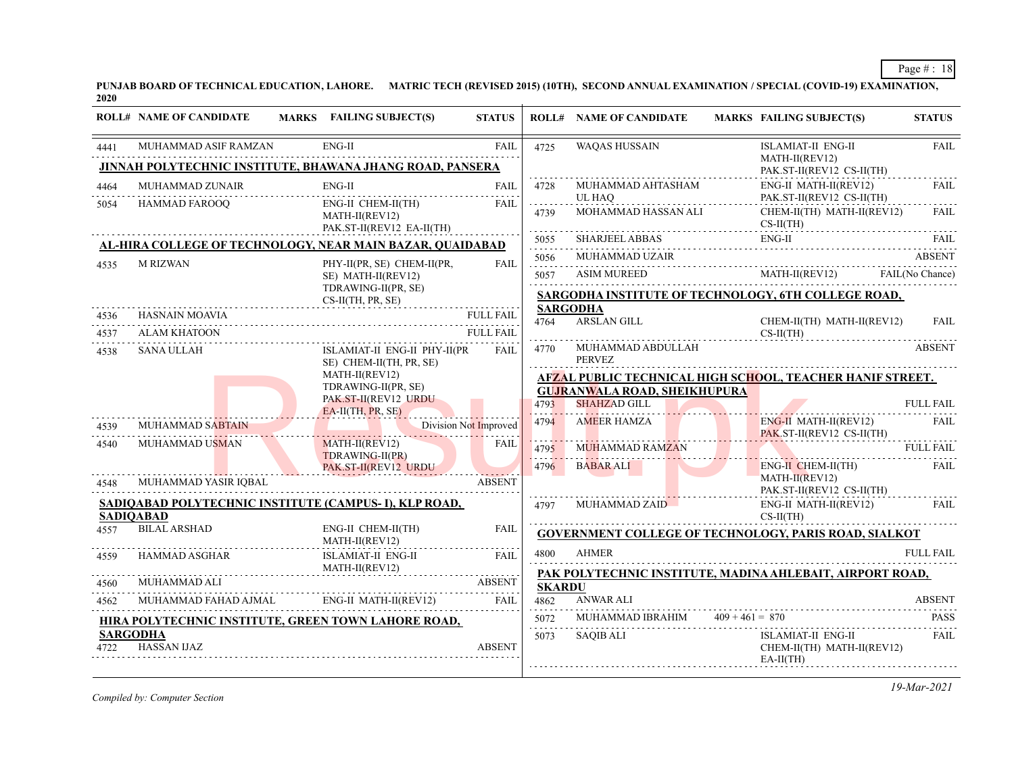**PUNJAB BOARD OF TECHNICAL EDUCATION, LAHORE. MATRIC TECH (REVISED 2015) (10TH), SECOND ANNUAL EXAMINATION / SPECIAL (COVID-19) EXAMINATION, 2020**

|              | <b>ROLL# NAME OF CANDIDATE</b>          | MARKS FAILING SUBJECT(S)                                         | <b>STATUS</b>         |                       | <b>ROLL# NAME OF CANDIDATE</b>                                   |                   | <b>MARKS FAILING SUBJECT(S)</b>                                        | <b>STATUS</b>    |  |  |
|--------------|-----------------------------------------|------------------------------------------------------------------|-----------------------|-----------------------|------------------------------------------------------------------|-------------------|------------------------------------------------------------------------|------------------|--|--|
| 4441         | MUHAMMAD ASIF RAMZAN                    | ENG-II                                                           | <b>FAIL</b><br>.      | 4725                  | <b>WAQAS HUSSAIN</b>                                             |                   | <b>ISLAMIAT-II ENG-II</b><br>MATH-II(REV12)                            | <b>FAIL</b>      |  |  |
|              |                                         | <b>JINNAH POLYTECHNIC INSTITUTE, BHAWANA JHANG ROAD, PANSERA</b> |                       |                       |                                                                  |                   | PAK.ST-II(REV12 CS-II(TH)                                              |                  |  |  |
| 4464<br>5054 | MUHAMMAD ZUNAIR<br><b>HAMMAD FAROOO</b> | ENG-II<br>ENG-II CHEM-II(TH)                                     | FAIL<br>FAII.         | 4728                  | MUHAMMAD AHTASHAM<br>UL HAO                                      |                   | ENG-II MATH-II(REV12)<br>PAK.ST-II(REV12 CS-II(TH)                     | FAIL             |  |  |
|              |                                         | MATH-II(REV12)<br>PAK.ST-II(REV12 EA-II(TH)                      |                       | 4739                  | MOHAMMAD HASSAN ALI                                              |                   | CHEM-II(TH) MATH-II(REV12)<br>$CS-II(TH)$                              | <b>FAIL</b>      |  |  |
|              |                                         | AL-HIRA COLLEGE OF TECHNOLOGY, NEAR MAIN BAZAR, QUAIDABAD        |                       | 5055                  | <b>SHARJEEL ABBAS</b>                                            |                   | $ENG-II$                                                               | FAIL.            |  |  |
|              |                                         |                                                                  |                       | 5056                  | MUHAMMAD UZAIR                                                   |                   |                                                                        | <b>ABSENT</b>    |  |  |
| 4535         | <b>M RIZWAN</b>                         | PHY-II(PR, SE) CHEM-II(PR,<br>SE) MATH-II(REV12)                 | <b>FAIL</b>           | .<br>5057             | <b>ASIM MUREED</b>                                               |                   | MATH-II(REV12)                                                         | FAIL(No Chance)  |  |  |
|              |                                         | TDRAWING-II(PR, SE)<br>$CS-II(TH, PR, SE)$                       |                       |                       | SARGODHA INSTITUTE OF TECHNOLOGY, 6TH COLLEGE ROAD,              |                   |                                                                        |                  |  |  |
| 4536         | <b>HASNAIN MOAVIA</b>                   |                                                                  | <b>FULL FAIL</b>      |                       | <b>SARGODHA</b>                                                  |                   |                                                                        |                  |  |  |
| 4537         | ALAM KHATOON                            |                                                                  | <b>FULL FAIL</b>      | 4764                  | <b>ARSLAN GILL</b>                                               |                   | CHEM-II(TH) MATH-II(REV12)<br>$CS-II(TH)$                              | FAIL             |  |  |
| 4538         | <b>SANA ULLAH</b>                       | ISLAMIAT-II ENG-II PHY-II(PR<br>SE) CHEM-II(TH, PR, SE)          | <b>FAIL</b>           | 4770                  | MUHAMMAD ABDULLAH<br>PERVEZ                                      |                   |                                                                        | <b>ABSENT</b>    |  |  |
|              |                                         | MATH-II(REV12)                                                   |                       |                       | <b>AFZAL PUBLIC TECHNICAL HIGH SCHOOL, TEACHER HANIF STREET.</b> |                   |                                                                        |                  |  |  |
|              |                                         | TDRAWING-II(PR, SE)                                              |                       |                       | <b>GUJRANWALA ROAD, SHEIKHUPURA</b>                              |                   |                                                                        |                  |  |  |
|              |                                         | PAK.ST-II(REV12 URDU<br>EA-II(TH, PR, SE)                        |                       | 4793                  | <b>SHAHZAD GILL</b>                                              |                   |                                                                        | <b>FULL FAIL</b> |  |  |
| 4539         | <b>MUHAMMAD SABTAIN</b>                 |                                                                  | Division Not Improved | 4794                  | <b>AMEER HAMZA</b>                                               |                   | $ENG-II$ MATH-II(REV12)<br>PAK ST-II(REV12 CS-II(TH)                   | <b>FAIL</b>      |  |  |
| 4540         | MUHAMMAD USMAN                          | MATH-II(REV12)                                                   | FAIL                  | 4795                  | MUHAMMAD RAMZAN                                                  |                   |                                                                        | <b>FULL FAIL</b> |  |  |
|              |                                         | TDRAWING-II(PR)<br>PAK.ST-II(REV12 URDU                          |                       | 4796                  | <b>BABAR ALI</b>                                                 |                   | ENG-II CHEM-II(TH)                                                     | FAIL             |  |  |
| 4548         | MUHAMMAD YASIR IOBAL                    |                                                                  | <b>ABSENT</b>         |                       |                                                                  |                   | $MATH-II(REV12)$<br>PAK.ST-II(REV12 CS-II(TH)                          |                  |  |  |
|              |                                         | SADIOABAD POLYTECHNIC INSTITUTE (CAMPUS-I), KLP ROAD,            |                       | 4797                  | MUHAMMAD ZAID                                                    |                   | ENG-II MATH-II(REV12)                                                  | <b>FAIL</b>      |  |  |
|              | <b>SADIOABAD</b>                        |                                                                  |                       |                       |                                                                  |                   | $CS-II(TH)$                                                            |                  |  |  |
| 4557         | <b>BILAL ARSHAD</b>                     | ENG-II CHEM-II(TH)<br>MATH-II(REV12)                             | <b>FAIL</b>           |                       |                                                                  |                   | <b>GOVERNMENT COLLEGE OF TECHNOLOGY, PARIS ROAD, SIALKOT</b>           |                  |  |  |
| 4559         | <b>HAMMAD ASGHAR</b>                    | <b>ISLAMIAT-II ENG-II</b>                                        | <b>FAIL</b>           | 4800                  | <b>AHMER</b>                                                     |                   |                                                                        | <b>FULL FAIL</b> |  |  |
| 4560         | MUHAMMAD ALI                            | MATH-II(REV12)                                                   | <b>ABSENT</b>         |                       |                                                                  |                   | PAK POLYTECHNIC INSTITUTE, MADINA AHLEBAIT, AIRPORT ROAD,              |                  |  |  |
| 4562         | MUHAMMAD FAHAD AJMAL                    | ENG-II MATH-II(REV12)                                            | <b>FAIL</b>           | <b>SKARDU</b><br>4862 | <b>ANWAR ALI</b>                                                 |                   |                                                                        | <b>ABSENT</b>    |  |  |
|              |                                         |                                                                  |                       | 5072                  | MUHAMMAD IBRAHIM                                                 | $409 + 461 = 870$ |                                                                        | <b>PASS</b>      |  |  |
|              | <b>SARGODHA</b>                         | HIRA POLYTECHNIC INSTITUTE, GREEN TOWN LAHORE ROAD,              |                       | $- - - - -$           |                                                                  |                   |                                                                        |                  |  |  |
| 4722         | <b>HASSAN IJAZ</b>                      |                                                                  | <b>ABSENT</b>         | 5073                  | <b>SAQIB ALI</b>                                                 |                   | <b>ISLAMIAT-II ENG-II</b><br>CHEM-II(TH) MATH-II(REV12)<br>$EA-II(TH)$ | <b>FAIL</b>      |  |  |
|              |                                         |                                                                  |                       |                       |                                                                  |                   |                                                                        |                  |  |  |

*Compiled by: Computer Section*